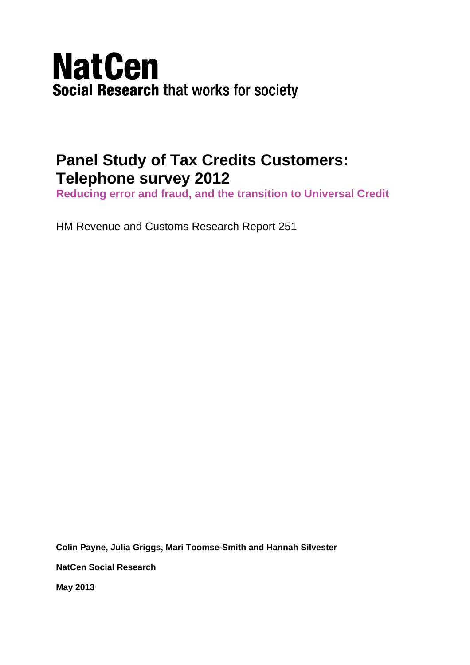# **NatCen Social Research that works for society**

# **Panel Study of Tax Credits Customers: Telephone survey 2012**

**Reducing error and fraud, and the transition to Universal Credit** 

HM Revenue and Customs Research Report 251

**Colin Payne, Julia Griggs, Mari Toomse-Smith and Hannah Silvester** 

**NatCen Social Research** 

**May 2013**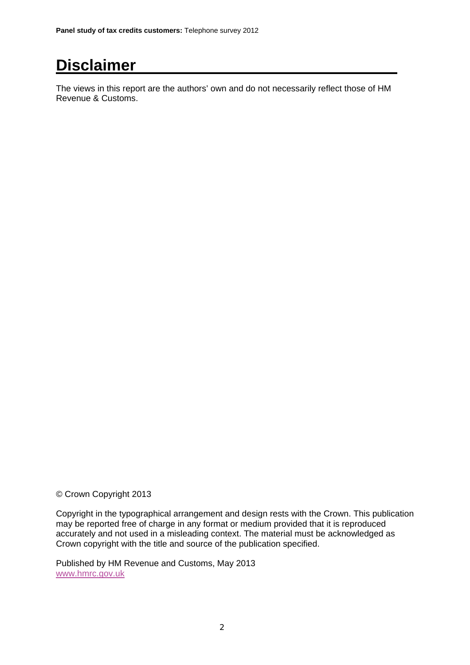# **Disclaimer**

The views in this report are the authors' own and do not necessarily reflect those of HM Revenue & Customs.

© Crown Copyright 2013

Copyright in the typographical arrangement and design rests with the Crown. This publication may be reported free of charge in any format or medium provided that it is reproduced accurately and not used in a misleading context. The material must be acknowledged as Crown copyright with the title and source of the publication specified.

Published by HM Revenue and Customs, May 2013 www.hmrc.gov.uk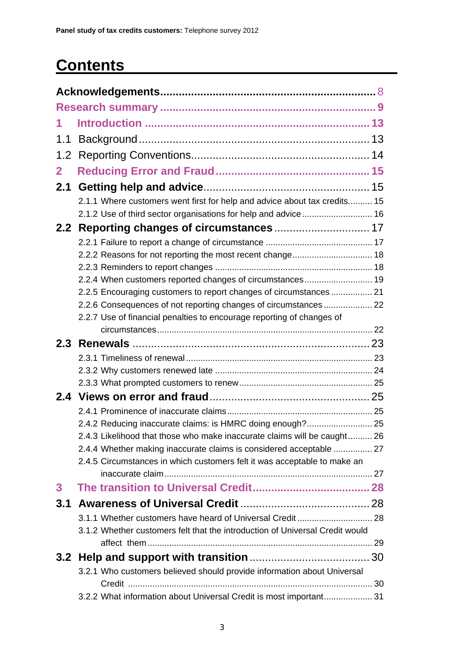# **Contents**

| 1.1          |                                                                              |  |
|--------------|------------------------------------------------------------------------------|--|
|              |                                                                              |  |
| $\mathbf{2}$ |                                                                              |  |
| 2.1          |                                                                              |  |
|              | 2.1.1 Where customers went first for help and advice about tax credits 15    |  |
|              |                                                                              |  |
|              |                                                                              |  |
|              |                                                                              |  |
|              |                                                                              |  |
|              |                                                                              |  |
|              | 2.2.4 When customers reported changes of circumstances 19                    |  |
|              | 2.2.5 Encouraging customers to report changes of circumstances 21            |  |
|              | 2.2.6 Consequences of not reporting changes of circumstances  22             |  |
|              | 2.2.7 Use of financial penalties to encourage reporting of changes of        |  |
|              |                                                                              |  |
|              |                                                                              |  |
|              |                                                                              |  |
|              |                                                                              |  |
|              |                                                                              |  |
|              |                                                                              |  |
|              |                                                                              |  |
|              | 2.4.2 Reducing inaccurate claims: is HMRC doing enough? 25                   |  |
|              | 2.4.3 Likelihood that those who make inaccurate claims will be caught 26     |  |
|              | 2.4.4 Whether making inaccurate claims is considered acceptable  27          |  |
|              | 2.4.5 Circumstances in which customers felt it was acceptable to make an     |  |
| 3            |                                                                              |  |
| 3.1          |                                                                              |  |
|              |                                                                              |  |
|              | 3.1.2 Whether customers felt that the introduction of Universal Credit would |  |
|              |                                                                              |  |
|              |                                                                              |  |
|              | 3.2.1 Who customers believed should provide information about Universal      |  |
|              | 3.2.2 What information about Universal Credit is most important 31           |  |
|              |                                                                              |  |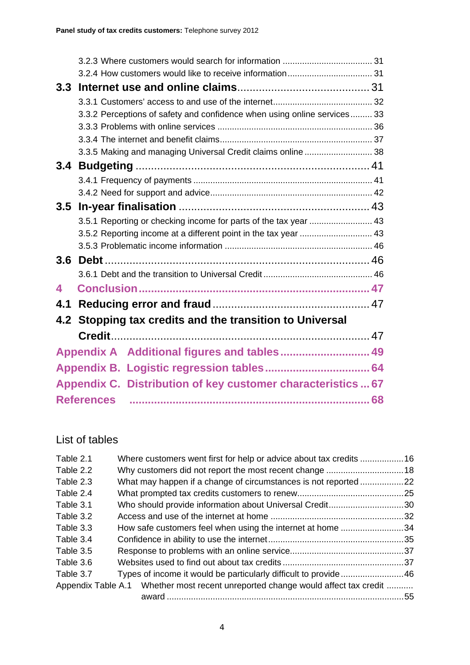| 3.2.4 How customers would like to receive information 31                 |                                                                                                                                                                         |
|--------------------------------------------------------------------------|-------------------------------------------------------------------------------------------------------------------------------------------------------------------------|
|                                                                          |                                                                                                                                                                         |
|                                                                          |                                                                                                                                                                         |
| 3.3.2 Perceptions of safety and confidence when using online services 33 |                                                                                                                                                                         |
|                                                                          |                                                                                                                                                                         |
|                                                                          |                                                                                                                                                                         |
| 3.3.5 Making and managing Universal Credit claims online 38              |                                                                                                                                                                         |
|                                                                          |                                                                                                                                                                         |
|                                                                          |                                                                                                                                                                         |
|                                                                          |                                                                                                                                                                         |
| 3.5                                                                      |                                                                                                                                                                         |
|                                                                          |                                                                                                                                                                         |
|                                                                          |                                                                                                                                                                         |
|                                                                          |                                                                                                                                                                         |
|                                                                          |                                                                                                                                                                         |
|                                                                          |                                                                                                                                                                         |
|                                                                          |                                                                                                                                                                         |
|                                                                          |                                                                                                                                                                         |
| 4.2                                                                      |                                                                                                                                                                         |
|                                                                          |                                                                                                                                                                         |
|                                                                          |                                                                                                                                                                         |
|                                                                          |                                                                                                                                                                         |
|                                                                          |                                                                                                                                                                         |
| Appendix C. Distribution of key customer characteristics  67             |                                                                                                                                                                         |
| <b>References</b>                                                        |                                                                                                                                                                         |
|                                                                          | 3.5.1 Reporting or checking income for parts of the tax year  43<br>Stopping tax credits and the transition to Universal<br>Appendix A Additional figures and tables 49 |

# List of tables

| Table 2.1 | Where customers went first for help or advice about tax credits 16               |     |
|-----------|----------------------------------------------------------------------------------|-----|
| Table 2.2 |                                                                                  |     |
| Table 2.3 | What may happen if a change of circumstances is not reported22                   |     |
| Table 2.4 |                                                                                  |     |
| Table 3.1 | Who should provide information about Universal Credit                            | .30 |
| Table 3.2 |                                                                                  |     |
| Table 3.3 | How safe customers feel when using the internet at home 34                       |     |
| Table 3.4 |                                                                                  |     |
| Table 3.5 |                                                                                  |     |
| Table 3.6 |                                                                                  |     |
| Table 3.7 | Types of income it would be particularly difficult to provide46                  |     |
|           | Appendix Table A.1 Whether most recent unreported change would affect tax credit |     |
|           |                                                                                  | .55 |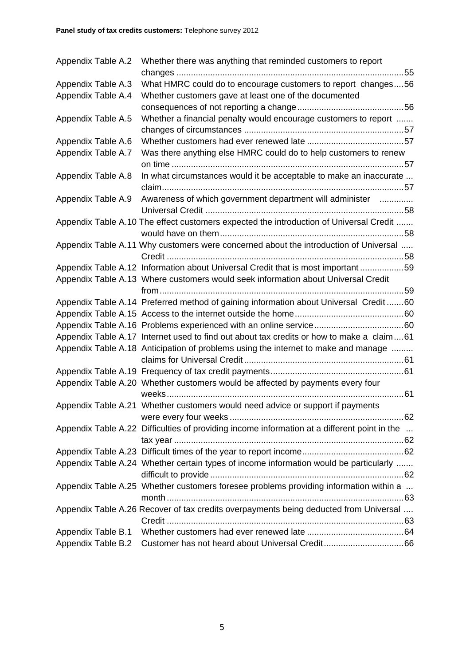| Appendix Table A.2 |  | Whether there was anything that reminded customers to report                                 |  |
|--------------------|--|----------------------------------------------------------------------------------------------|--|
|                    |  |                                                                                              |  |
| Appendix Table A.3 |  | What HMRC could do to encourage customers to report changes56                                |  |
| Appendix Table A.4 |  | Whether customers gave at least one of the documented                                        |  |
|                    |  |                                                                                              |  |
| Appendix Table A.5 |  | Whether a financial penalty would encourage customers to report                              |  |
|                    |  |                                                                                              |  |
| Appendix Table A.6 |  |                                                                                              |  |
| Appendix Table A.7 |  | Was there anything else HMRC could do to help customers to renew                             |  |
|                    |  |                                                                                              |  |
| Appendix Table A.8 |  | In what circumstances would it be acceptable to make an inaccurate                           |  |
|                    |  |                                                                                              |  |
| Appendix Table A.9 |  | Awareness of which government department will administer                                     |  |
|                    |  |                                                                                              |  |
|                    |  | Appendix Table A.10 The effect customers expected the introduction of Universal Credit       |  |
|                    |  |                                                                                              |  |
|                    |  | Appendix Table A.11 Why customers were concerned about the introduction of Universal         |  |
|                    |  |                                                                                              |  |
|                    |  | Appendix Table A.12 Information about Universal Credit that is most important 59             |  |
|                    |  | Appendix Table A.13 Where customers would seek information about Universal Credit            |  |
|                    |  |                                                                                              |  |
|                    |  | Appendix Table A.14 Preferred method of gaining information about Universal Credit60         |  |
|                    |  |                                                                                              |  |
|                    |  |                                                                                              |  |
|                    |  | Appendix Table A.17 Internet used to find out about tax credits or how to make a claim61     |  |
|                    |  | Appendix Table A.18 Anticipation of problems using the internet to make and manage           |  |
|                    |  |                                                                                              |  |
|                    |  |                                                                                              |  |
|                    |  | Appendix Table A.20 Whether customers would be affected by payments every four               |  |
|                    |  |                                                                                              |  |
|                    |  | Appendix Table A.21 Whether customers would need advice or support if payments               |  |
|                    |  |                                                                                              |  |
|                    |  | Appendix Table A.22 Difficulties of providing income information at a different point in the |  |
|                    |  |                                                                                              |  |
|                    |  |                                                                                              |  |
|                    |  | Appendix Table A.24 Whether certain types of income information would be particularly        |  |
|                    |  |                                                                                              |  |
|                    |  | Appendix Table A.25 Whether customers foresee problems providing information within a        |  |
|                    |  |                                                                                              |  |
|                    |  | Appendix Table A.26 Recover of tax credits overpayments being deducted from Universal        |  |
|                    |  |                                                                                              |  |
| Appendix Table B.1 |  |                                                                                              |  |
| Appendix Table B.2 |  |                                                                                              |  |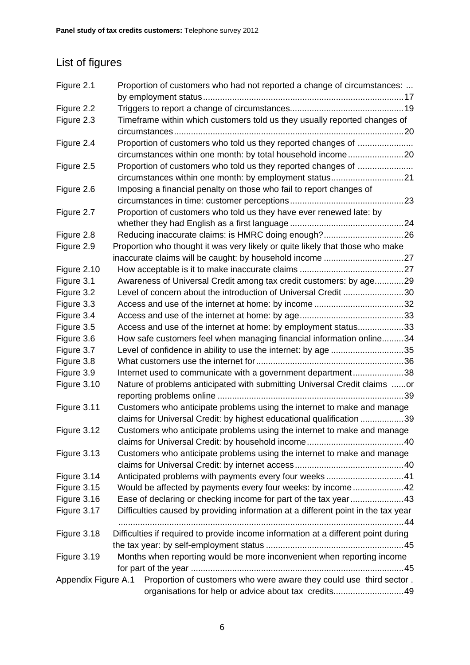# List of figures

| Figure 2.1          | Proportion of customers who had not reported a change of circumstances: |                                                                                    |  |
|---------------------|-------------------------------------------------------------------------|------------------------------------------------------------------------------------|--|
|                     |                                                                         |                                                                                    |  |
| Figure 2.2          |                                                                         |                                                                                    |  |
| Figure 2.3          |                                                                         | Timeframe within which customers told us they usually reported changes of          |  |
| Figure 2.4          |                                                                         | Proportion of customers who told us they reported changes of                       |  |
|                     |                                                                         |                                                                                    |  |
| Figure 2.5          |                                                                         | Proportion of customers who told us they reported changes of                       |  |
|                     |                                                                         |                                                                                    |  |
| Figure 2.6          |                                                                         | Imposing a financial penalty on those who fail to report changes of                |  |
|                     |                                                                         |                                                                                    |  |
| Figure 2.7          |                                                                         | Proportion of customers who told us they have ever renewed late: by                |  |
|                     |                                                                         |                                                                                    |  |
| Figure 2.8          |                                                                         |                                                                                    |  |
| Figure 2.9          |                                                                         | Proportion who thought it was very likely or quite likely that those who make      |  |
|                     |                                                                         |                                                                                    |  |
| Figure 2.10         |                                                                         |                                                                                    |  |
| Figure 3.1          |                                                                         | Awareness of Universal Credit among tax credit customers: by age29                 |  |
| Figure 3.2          |                                                                         | Level of concern about the introduction of Universal Credit 30                     |  |
| Figure 3.3          |                                                                         |                                                                                    |  |
| Figure 3.4          |                                                                         |                                                                                    |  |
| Figure 3.5          |                                                                         | Access and use of the internet at home: by employment status33                     |  |
| Figure 3.6          |                                                                         | How safe customers feel when managing financial information online34               |  |
| Figure 3.7          |                                                                         | Level of confidence in ability to use the internet: by age 35                      |  |
| Figure 3.8          |                                                                         |                                                                                    |  |
| Figure 3.9          |                                                                         | Internet used to communicate with a government department38                        |  |
| Figure 3.10         |                                                                         | Nature of problems anticipated with submitting Universal Credit claims or          |  |
|                     |                                                                         |                                                                                    |  |
| Figure 3.11         |                                                                         | Customers who anticipate problems using the internet to make and manage            |  |
|                     |                                                                         | claims for Universal Credit: by highest educational qualification 39               |  |
| Figure 3.12         |                                                                         | Customers who anticipate problems using the internet to make and manage            |  |
|                     |                                                                         |                                                                                    |  |
| Figure 3.13         |                                                                         | Customers who anticipate problems using the internet to make and manage            |  |
|                     |                                                                         |                                                                                    |  |
| Figure 3.14         |                                                                         | Anticipated problems with payments every four weeks41                              |  |
| Figure 3.15         |                                                                         | Would be affected by payments every four weeks: by income42                        |  |
| Figure 3.16         |                                                                         | Ease of declaring or checking income for part of the tax year43                    |  |
| Figure 3.17         |                                                                         | Difficulties caused by providing information at a different point in the tax year  |  |
|                     |                                                                         |                                                                                    |  |
| Figure 3.18         |                                                                         | Difficulties if required to provide income information at a different point during |  |
|                     |                                                                         |                                                                                    |  |
| Figure 3.19         |                                                                         | Months when reporting would be more inconvenient when reporting income             |  |
|                     |                                                                         |                                                                                    |  |
| Appendix Figure A.1 |                                                                         | Proportion of customers who were aware they could use third sector.                |  |
|                     |                                                                         | organisations for help or advice about tax credits49                               |  |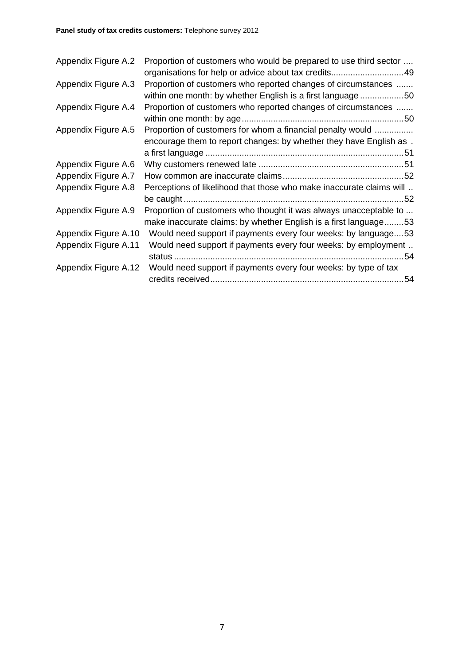| Appendix Figure A.2  | Proportion of customers who would be prepared to use third sector<br>organisations for help or advice about tax credits 49            |
|----------------------|---------------------------------------------------------------------------------------------------------------------------------------|
| Appendix Figure A.3  | Proportion of customers who reported changes of circumstances<br>within one month: by whether English is a first language 50          |
| Appendix Figure A.4  | Proportion of customers who reported changes of circumstances                                                                         |
| Appendix Figure A.5  | Proportion of customers for whom a financial penalty would<br>encourage them to report changes: by whether they have English as.      |
| Appendix Figure A.6  |                                                                                                                                       |
| Appendix Figure A.7  |                                                                                                                                       |
| Appendix Figure A.8  | Perceptions of likelihood that those who make inaccurate claims will                                                                  |
| Appendix Figure A.9  | Proportion of customers who thought it was always unacceptable to<br>make inaccurate claims: by whether English is a first language53 |
| Appendix Figure A.10 | Would need support if payments every four weeks: by language53                                                                        |
| Appendix Figure A.11 | Would need support if payments every four weeks: by employment                                                                        |
| Appendix Figure A.12 | Would need support if payments every four weeks: by type of tax                                                                       |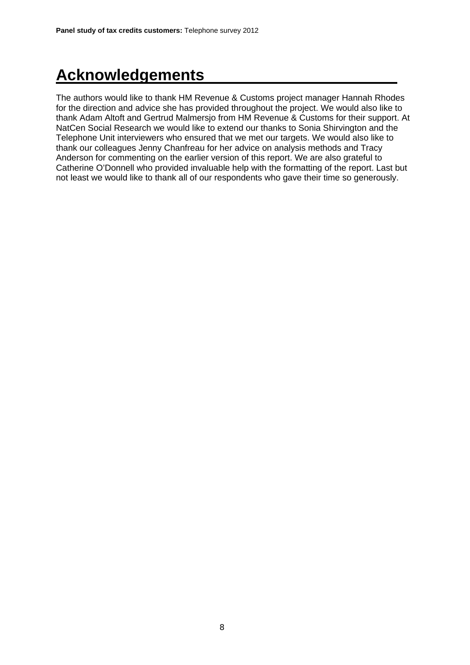# **Acknowledgements**

The authors would like to thank HM Revenue & Customs project manager Hannah Rhodes for the direction and advice she has provided throughout the project. We would also like to thank Adam Altoft and Gertrud Malmersjo from HM Revenue & Customs for their support. At NatCen Social Research we would like to extend our thanks to Sonia Shirvington and the Telephone Unit interviewers who ensured that we met our targets. We would also like to thank our colleagues Jenny Chanfreau for her advice on analysis methods and Tracy Anderson for commenting on the earlier version of this report. We are also grateful to Catherine O'Donnell who provided invaluable help with the formatting of the report. Last but not least we would like to thank all of our respondents who gave their time so generously.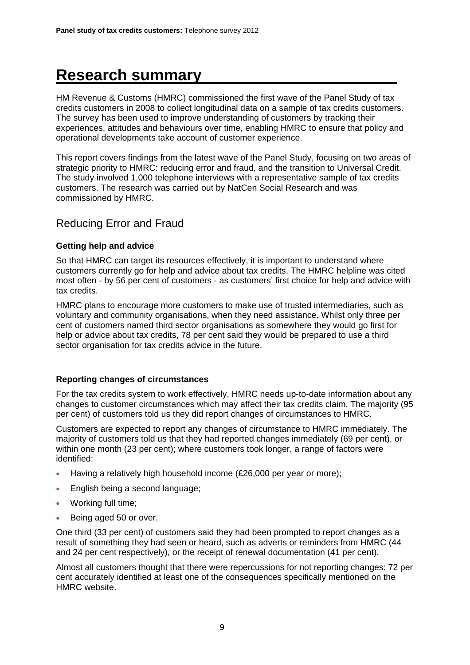# **Research summary**

HM Revenue & Customs (HMRC) commissioned the first wave of the Panel Study of tax credits customers in 2008 to collect longitudinal data on a sample of tax credits customers. The survey has been used to improve understanding of customers by tracking their experiences, attitudes and behaviours over time, enabling HMRC to ensure that policy and operational developments take account of customer experience.

This report covers findings from the latest wave of the Panel Study, focusing on two areas of strategic priority to HMRC: reducing error and fraud, and the transition to Universal Credit. The study involved 1,000 telephone interviews with a representative sample of tax credits customers. The research was carried out by NatCen Social Research and was commissioned by HMRC.

## Reducing Error and Fraud

#### **Getting help and advice**

So that HMRC can target its resources effectively, it is important to understand where customers currently go for help and advice about tax credits. The HMRC helpline was cited most often - by 56 per cent of customers - as customers' first choice for help and advice with tax credits.

HMRC plans to encourage more customers to make use of trusted intermediaries, such as voluntary and community organisations, when they need assistance. Whilst only three per cent of customers named third sector organisations as somewhere they would go first for help or advice about tax credits, 78 per cent said they would be prepared to use a third sector organisation for tax credits advice in the future.

#### **Reporting changes of circumstances**

For the tax credits system to work effectively, HMRC needs up-to-date information about any changes to customer circumstances which may affect their tax credits claim. The majority (95 per cent) of customers told us they did report changes of circumstances to HMRC.

Customers are expected to report any changes of circumstance to HMRC immediately. The majority of customers told us that they had reported changes immediately (69 per cent), or within one month (23 per cent); where customers took longer, a range of factors were identified:

- Having a relatively high household income (£26,000 per year or more);
- English being a second language;
- Working full time;
- Being aged 50 or over.

One third (33 per cent) of customers said they had been prompted to report changes as a result of something they had seen or heard, such as adverts or reminders from HMRC (44 and 24 per cent respectively), or the receipt of renewal documentation (41 per cent).

Almost all customers thought that there were repercussions for not reporting changes: 72 per cent accurately identified at least one of the consequences specifically mentioned on the HMRC website.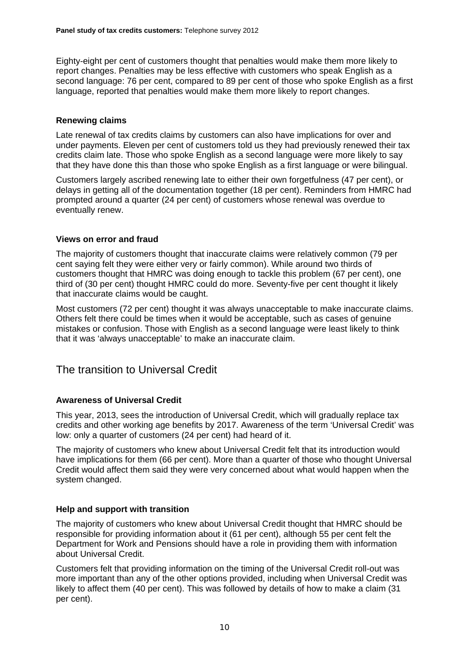Eighty-eight per cent of customers thought that penalties would make them more likely to report changes. Penalties may be less effective with customers who speak English as a second language: 76 per cent, compared to 89 per cent of those who spoke English as a first language, reported that penalties would make them more likely to report changes.

#### **Renewing claims**

Late renewal of tax credits claims by customers can also have implications for over and under payments. Eleven per cent of customers told us they had previously renewed their tax credits claim late. Those who spoke English as a second language were more likely to say that they have done this than those who spoke English as a first language or were bilingual.

Customers largely ascribed renewing late to either their own forgetfulness (47 per cent), or delays in getting all of the documentation together (18 per cent). Reminders from HMRC had prompted around a quarter (24 per cent) of customers whose renewal was overdue to eventually renew.

#### **Views on error and fraud**

The majority of customers thought that inaccurate claims were relatively common (79 per cent saying felt they were either very or fairly common). While around two thirds of customers thought that HMRC was doing enough to tackle this problem (67 per cent), one third of (30 per cent) thought HMRC could do more. Seventy-five per cent thought it likely that inaccurate claims would be caught.

Most customers (72 per cent) thought it was always unacceptable to make inaccurate claims. Others felt there could be times when it would be acceptable, such as cases of genuine mistakes or confusion. Those with English as a second language were least likely to think that it was 'always unacceptable' to make an inaccurate claim.

## The transition to Universal Credit

#### **Awareness of Universal Credit**

This year, 2013, sees the introduction of Universal Credit, which will gradually replace tax credits and other working age benefits by 2017. Awareness of the term 'Universal Credit' was low: only a quarter of customers (24 per cent) had heard of it.

The majority of customers who knew about Universal Credit felt that its introduction would have implications for them (66 per cent). More than a quarter of those who thought Universal Credit would affect them said they were very concerned about what would happen when the system changed.

#### **Help and support with transition**

The majority of customers who knew about Universal Credit thought that HMRC should be responsible for providing information about it (61 per cent), although 55 per cent felt the Department for Work and Pensions should have a role in providing them with information about Universal Credit.

Customers felt that providing information on the timing of the Universal Credit roll-out was more important than any of the other options provided, including when Universal Credit was likely to affect them (40 per cent). This was followed by details of how to make a claim (31 per cent).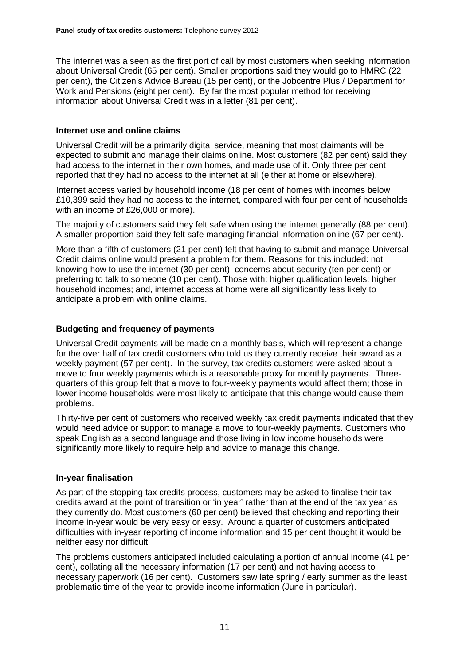The internet was a seen as the first port of call by most customers when seeking information about Universal Credit (65 per cent). Smaller proportions said they would go to HMRC (22 per cent), the Citizen's Advice Bureau (15 per cent), or the Jobcentre Plus / Department for Work and Pensions (eight per cent). By far the most popular method for receiving information about Universal Credit was in a letter (81 per cent).

#### **Internet use and online claims**

Universal Credit will be a primarily digital service, meaning that most claimants will be expected to submit and manage their claims online. Most customers (82 per cent) said they had access to the internet in their own homes, and made use of it. Only three per cent reported that they had no access to the internet at all (either at home or elsewhere).

Internet access varied by household income (18 per cent of homes with incomes below £10,399 said they had no access to the internet, compared with four per cent of households with an income of £26,000 or more).

The majority of customers said they felt safe when using the internet generally (88 per cent). A smaller proportion said they felt safe managing financial information online (67 per cent).

More than a fifth of customers (21 per cent) felt that having to submit and manage Universal Credit claims online would present a problem for them. Reasons for this included: not knowing how to use the internet (30 per cent), concerns about security (ten per cent) or preferring to talk to someone (10 per cent). Those with: higher qualification levels; higher household incomes; and, internet access at home were all significantly less likely to anticipate a problem with online claims.

#### **Budgeting and frequency of payments**

Universal Credit payments will be made on a monthly basis, which will represent a change for the over half of tax credit customers who told us they currently receive their award as a weekly payment (57 per cent). In the survey, tax credits customers were asked about a move to four weekly payments which is a reasonable proxy for monthly payments. Threequarters of this group felt that a move to four-weekly payments would affect them; those in lower income households were most likely to anticipate that this change would cause them problems.

Thirty-five per cent of customers who received weekly tax credit payments indicated that they would need advice or support to manage a move to four-weekly payments. Customers who speak English as a second language and those living in low income households were significantly more likely to require help and advice to manage this change.

#### **In-year finalisation**

As part of the stopping tax credits process, customers may be asked to finalise their tax credits award at the point of transition or 'in year' rather than at the end of the tax year as they currently do. Most customers (60 per cent) believed that checking and reporting their income in-year would be very easy or easy. Around a quarter of customers anticipated difficulties with in-year reporting of income information and 15 per cent thought it would be neither easy nor difficult.

The problems customers anticipated included calculating a portion of annual income (41 per cent), collating all the necessary information (17 per cent) and not having access to necessary paperwork (16 per cent). Customers saw late spring / early summer as the least problematic time of the year to provide income information (June in particular).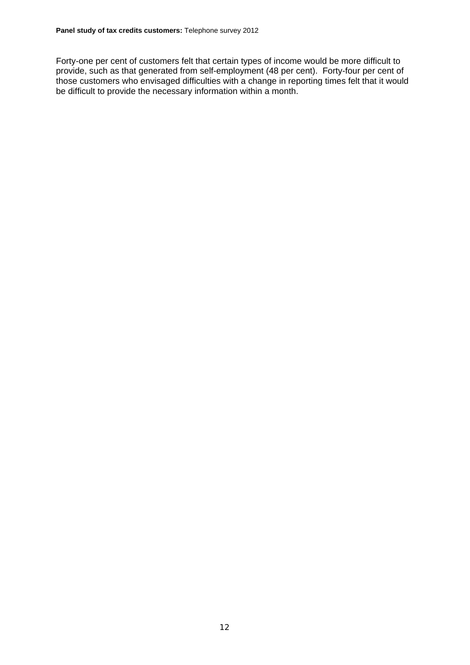Forty-one per cent of customers felt that certain types of income would be more difficult to provide, such as that generated from self-employment (48 per cent). Forty-four per cent of those customers who envisaged difficulties with a change in reporting times felt that it would be difficult to provide the necessary information within a month.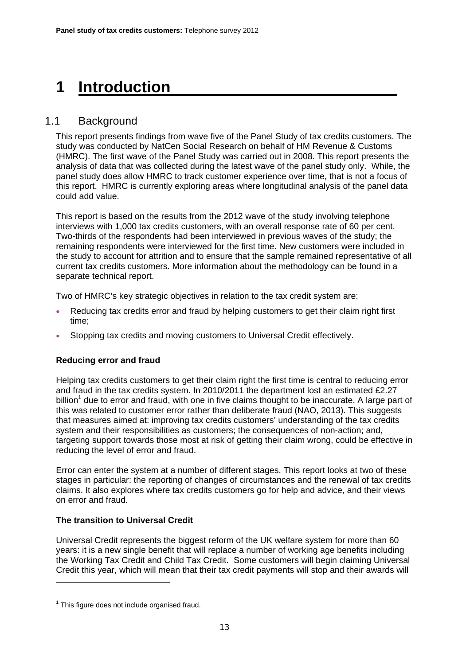# **1 Introduction**

## 1.1 Background

This report presents findings from wave five of the Panel Study of tax credits customers. The study was conducted by NatCen Social Research on behalf of HM Revenue & Customs (HMRC). The first wave of the Panel Study was carried out in 2008. This report presents the analysis of data that was collected during the latest wave of the panel study only. While, the panel study does allow HMRC to track customer experience over time, that is not a focus of this report. HMRC is currently exploring areas where longitudinal analysis of the panel data could add value.

This report is based on the results from the 2012 wave of the study involving telephone interviews with 1,000 tax credits customers, with an overall response rate of 60 per cent. Two-thirds of the respondents had been interviewed in previous waves of the study; the remaining respondents were interviewed for the first time. New customers were included in the study to account for attrition and to ensure that the sample remained representative of all current tax credits customers. More information about the methodology can be found in a separate technical report.

Two of HMRC's key strategic objectives in relation to the tax credit system are:

- Reducing tax credits error and fraud by helping customers to get their claim right first time;
- Stopping tax credits and moving customers to Universal Credit effectively.

#### **Reducing error and fraud**

Helping tax credits customers to get their claim right the first time is central to reducing error and fraud in the tax credits system. In 2010/2011 the department lost an estimated £2.27 billion<sup>1</sup> due to error and fraud, with one in five claims thought to be inaccurate. A large part of this was related to customer error rather than deliberate fraud (NAO, 2013). This suggests that measures aimed at: improving tax credits customers' understanding of the tax credits system and their responsibilities as customers; the consequences of non-action; and, targeting support towards those most at risk of getting their claim wrong, could be effective in reducing the level of error and fraud.

Error can enter the system at a number of different stages. This report looks at two of these stages in particular: the reporting of changes of circumstances and the renewal of tax credits claims. It also explores where tax credits customers go for help and advice, and their views on error and fraud.

#### **The transition to Universal Credit**

Universal Credit represents the biggest reform of the UK welfare system for more than 60 years: it is a new single benefit that will replace a number of working age benefits including the Working Tax Credit and Child Tax Credit. Some customers will begin claiming Universal Credit this year, which will mean that their tax credit payments will stop and their awards will

 $<sup>1</sup>$  This figure does not include organised fraud.</sup>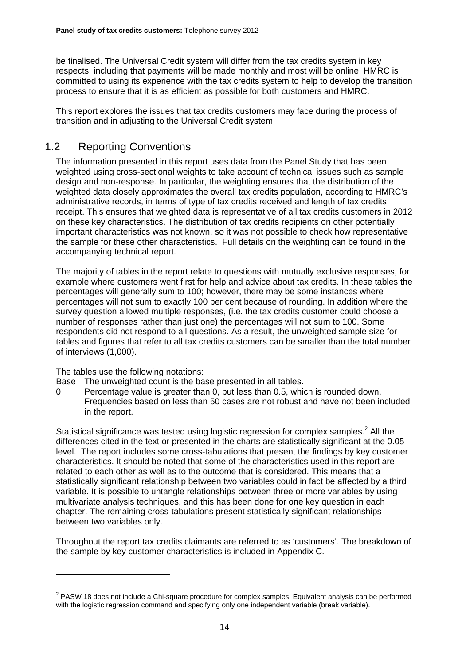be finalised. The Universal Credit system will differ from the tax credits system in key respects, including that payments will be made monthly and most will be online. HMRC is committed to using its experience with the tax credits system to help to develop the transition process to ensure that it is as efficient as possible for both customers and HMRC.

This report explores the issues that tax credits customers may face during the process of transition and in adjusting to the Universal Credit system.

## 1.2 Reporting Conventions

The information presented in this report uses data from the Panel Study that has been weighted using cross-sectional weights to take account of technical issues such as sample design and non-response. In particular, the weighting ensures that the distribution of the weighted data closely approximates the overall tax credits population, according to HMRC's administrative records, in terms of type of tax credits received and length of tax credits receipt. This ensures that weighted data is representative of all tax credits customers in 2012 on these key characteristics. The distribution of tax credits recipients on other potentially important characteristics was not known, so it was not possible to check how representative the sample for these other characteristics. Full details on the weighting can be found in the accompanying technical report.

The majority of tables in the report relate to questions with mutually exclusive responses, for example where customers went first for help and advice about tax credits. In these tables the percentages will generally sum to 100; however, there may be some instances where percentages will not sum to exactly 100 per cent because of rounding. In addition where the survey question allowed multiple responses, (i.e. the tax credits customer could choose a number of responses rather than just one) the percentages will not sum to 100. Some respondents did not respond to all questions. As a result, the unweighted sample size for tables and figures that refer to all tax credits customers can be smaller than the total number of interviews (1,000).

The tables use the following notations:

- Base The unweighted count is the base presented in all tables.
- 0 Percentage value is greater than 0, but less than 0.5, which is rounded down. Frequencies based on less than 50 cases are not robust and have not been included in the report.

Statistical significance was tested using logistic regression for complex samples.<sup>2</sup> All the differences cited in the text or presented in the charts are statistically significant at the 0.05 level. The report includes some cross-tabulations that present the findings by key customer characteristics. It should be noted that some of the characteristics used in this report are related to each other as well as to the outcome that is considered. This means that a statistically significant relationship between two variables could in fact be affected by a third variable. It is possible to untangle relationships between three or more variables by using multivariate analysis techniques, and this has been done for one key question in each chapter. The remaining cross-tabulations present statistically significant relationships between two variables only.

Throughout the report tax credits claimants are referred to as 'customers'. The breakdown of the sample by key customer characteristics is included in Appendix C.

 $2$  PASW 18 does not include a Chi-square procedure for complex samples. Equivalent analysis can be performed with the logistic regression command and specifying only one independent variable (break variable).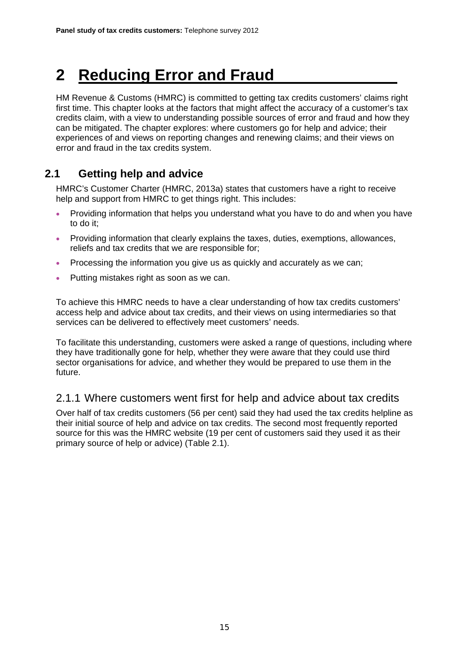# **2 Reducing Error and Fraud**

HM Revenue & Customs (HMRC) is committed to getting tax credits customers' claims right first time. This chapter looks at the factors that might affect the accuracy of a customer's tax credits claim, with a view to understanding possible sources of error and fraud and how they can be mitigated. The chapter explores: where customers go for help and advice; their experiences of and views on reporting changes and renewing claims; and their views on error and fraud in the tax credits system.

## **2.1 Getting help and advice**

HMRC's Customer Charter (HMRC, 2013a) states that customers have a right to receive help and support from HMRC to get things right. This includes:

- Providing information that helps you understand what you have to do and when you have to do it;
- Providing information that clearly explains the taxes, duties, exemptions, allowances, reliefs and tax credits that we are responsible for;
- Processing the information you give us as quickly and accurately as we can;
- Putting mistakes right as soon as we can.

To achieve this HMRC needs to have a clear understanding of how tax credits customers' access help and advice about tax credits, and their views on using intermediaries so that services can be delivered to effectively meet customers' needs.

To facilitate this understanding, customers were asked a range of questions, including where they have traditionally gone for help, whether they were aware that they could use third sector organisations for advice, and whether they would be prepared to use them in the future.

## 2.1.1 Where customers went first for help and advice about tax credits

Over half of tax credits customers (56 per cent) said they had used the tax credits helpline as their initial source of help and advice on tax credits. The second most frequently reported source for this was the HMRC website (19 per cent of customers said they used it as their primary source of help or advice) (Table 2.1).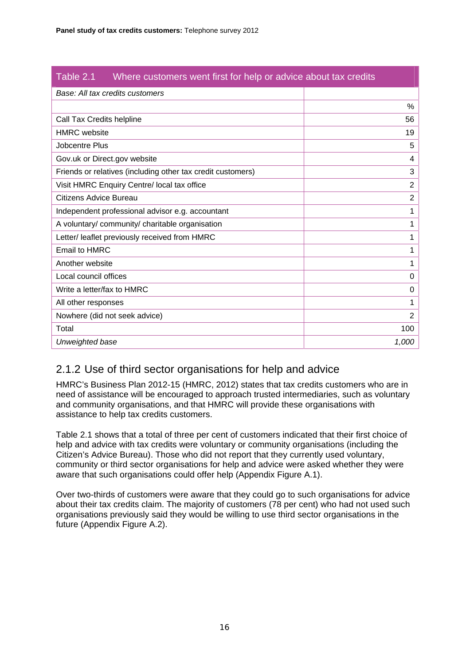| Table 2.1<br>Where customers went first for help or advice about tax credits |                |
|------------------------------------------------------------------------------|----------------|
| Base: All tax credits customers                                              |                |
|                                                                              | $\%$           |
| Call Tax Credits helpline                                                    | 56             |
| <b>HMRC</b> website                                                          | 19             |
| Jobcentre Plus                                                               | 5              |
| Gov.uk or Direct.gov website                                                 | 4              |
| Friends or relatives (including other tax credit customers)                  | 3              |
| Visit HMRC Enquiry Centre/ local tax office                                  | $\overline{2}$ |
| Citizens Advice Bureau                                                       | $\overline{2}$ |
| Independent professional advisor e.g. accountant                             | 1              |
| A voluntary/ community/ charitable organisation                              | 1              |
| Letter/ leaflet previously received from HMRC                                | 1              |
| <b>Email to HMRC</b>                                                         |                |
| Another website                                                              | 1              |
| Local council offices                                                        | 0              |
| Write a letter/fax to HMRC                                                   | 0              |
| All other responses                                                          | 1              |
| Nowhere (did not seek advice)                                                | $\overline{2}$ |
| Total                                                                        | 100            |
| Unweighted base                                                              | 1,000          |

# 2.1.2 Use of third sector organisations for help and advice

HMRC's Business Plan 2012-15 (HMRC, 2012) states that tax credits customers who are in need of assistance will be encouraged to approach trusted intermediaries, such as voluntary and community organisations, and that HMRC will provide these organisations with assistance to help tax credits customers.

Table 2.1 shows that a total of three per cent of customers indicated that their first choice of help and advice with tax credits were voluntary or community organisations (including the Citizen's Advice Bureau). Those who did not report that they currently used voluntary, community or third sector organisations for help and advice were asked whether they were aware that such organisations could offer help (Appendix Figure A.1).

Over two-thirds of customers were aware that they could go to such organisations for advice about their tax credits claim. The majority of customers (78 per cent) who had not used such organisations previously said they would be willing to use third sector organisations in the future (Appendix Figure A.2).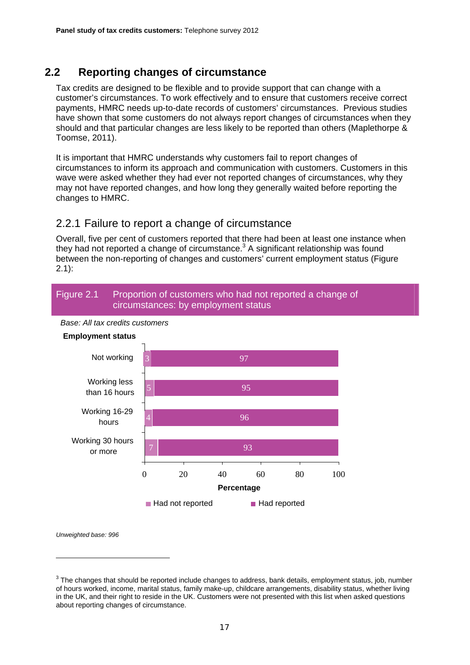## **2.2 Reporting changes of circumstance**

Tax credits are designed to be flexible and to provide support that can change with a customer's circumstances. To work effectively and to ensure that customers receive correct payments, HMRC needs up-to-date records of customers' circumstances. Previous studies have shown that some customers do not always report changes of circumstances when they should and that particular changes are less likely to be reported than others (Maplethorpe & Toomse, 2011).

It is important that HMRC understands why customers fail to report changes of circumstances to inform its approach and communication with customers. Customers in this wave were asked whether they had ever not reported changes of circumstances, why they may not have reported changes, and how long they generally waited before reporting the changes to HMRC.

#### 2.2.1 Failure to report a change of circumstance

Overall, five per cent of customers reported that there had been at least one instance when they had not reported a change of circumstance. $3$  A significant relationship was found between the non-reporting of changes and customers' current employment status (Figure 2.1):

#### Figure 2.1 Proportion of customers who had not reported a change of circumstances: by employment status





<sup>&</sup>lt;sup>3</sup> The changes that should be reported include changes to address, bank details, employment status, job, number of hours worked, income, marital status, family make-up, childcare arrangements, disability status, whether living in the UK, and their right to reside in the UK. Customers were not presented with this list when asked questions about reporting changes of circumstance.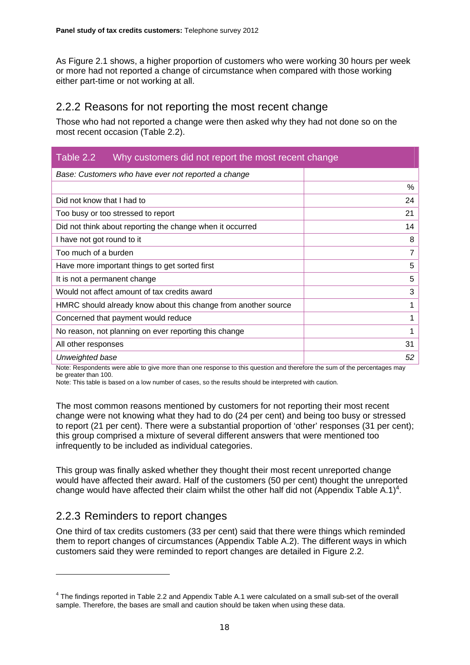As Figure 2.1 shows, a higher proportion of customers who were working 30 hours per week or more had not reported a change of circumstance when compared with those working either part-time or not working at all.

## 2.2.2 Reasons for not reporting the most recent change

Those who had not reported a change were then asked why they had not done so on the most recent occasion (Table 2.2).

| Table 2.2<br>Why customers did not report the most recent change |                |  |
|------------------------------------------------------------------|----------------|--|
| Base: Customers who have ever not reported a change              |                |  |
|                                                                  | %              |  |
| Did not know that I had to                                       | 24             |  |
| Too busy or too stressed to report                               | 21             |  |
| Did not think about reporting the change when it occurred        | 14             |  |
| I have not got round to it                                       | 8              |  |
| Too much of a burden                                             | $\overline{7}$ |  |
| Have more important things to get sorted first                   | 5              |  |
| It is not a permanent change                                     | 5              |  |
| Would not affect amount of tax credits award                     | 3              |  |
| HMRC should already know about this change from another source   | 1              |  |
| Concerned that payment would reduce                              | 1              |  |
| No reason, not planning on ever reporting this change            | 1              |  |
| All other responses                                              | 31             |  |
| Unweighted base                                                  | 52             |  |

Note: Respondents were able to give more than one response to this question and therefore the sum of the percentages may be greater than 100.

Note: This table is based on a low number of cases, so the results should be interpreted with caution.

The most common reasons mentioned by customers for not reporting their most recent change were not knowing what they had to do (24 per cent) and being too busy or stressed to report (21 per cent). There were a substantial proportion of 'other' responses (31 per cent); this group comprised a mixture of several different answers that were mentioned too infrequently to be included as individual categories.

This group was finally asked whether they thought their most recent unreported change would have affected their award. Half of the customers (50 per cent) thought the unreported change would have affected their claim whilst the other half did not (Appendix Table A.1)<sup>4</sup>.

## 2.2.3 Reminders to report changes

One third of tax credits customers (33 per cent) said that there were things which reminded them to report changes of circumstances (Appendix Table A.2). The different ways in which customers said they were reminded to report changes are detailed in Figure 2.2.

<sup>4</sup> The findings reported in Table 2.2 and Appendix Table A.1 were calculated on a small sub-set of the overall sample. Therefore, the bases are small and caution should be taken when using these data.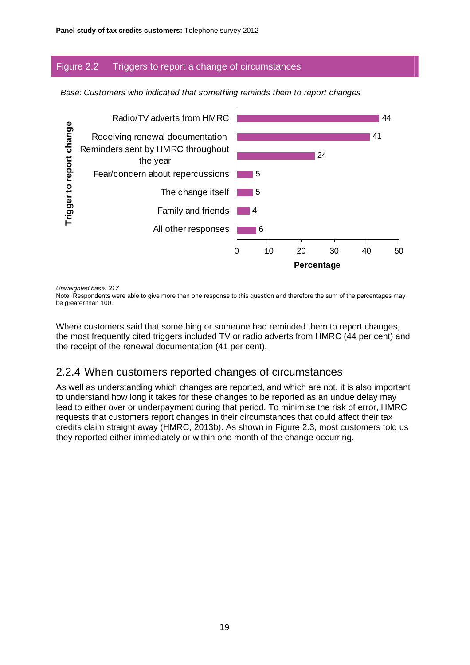#### Figure 2.2 Triggers to report a change of circumstances

*Base: Customers who indicated that something reminds them to report changes* 



*Unweighted base: 317* 

Note: Respondents were able to give more than one response to this question and therefore the sum of the percentages may be greater than 100.

Where customers said that something or someone had reminded them to report changes, the most frequently cited triggers included TV or radio adverts from HMRC (44 per cent) and the receipt of the renewal documentation (41 per cent).

## 2.2.4 When customers reported changes of circumstances

As well as understanding which changes are reported, and which are not, it is also important to understand how long it takes for these changes to be reported as an undue delay may lead to either over or underpayment during that period. To minimise the risk of error, HMRC requests that customers report changes in their circumstances that could affect their tax credits claim straight away (HMRC, 2013b). As shown in Figure 2.3, most customers told us they reported either immediately or within one month of the change occurring.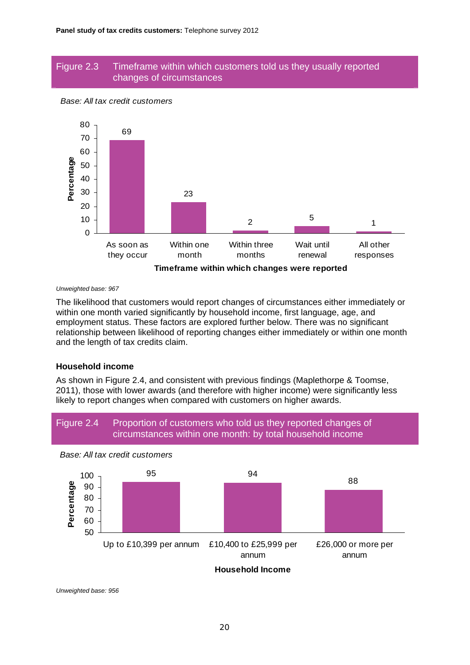#### Figure 2.3 Timeframe within which customers told us they usually reported changes of circumstances





#### *Unweighted base: 967*

The likelihood that customers would report changes of circumstances either immediately or within one month varied significantly by household income, first language, age, and employment status. These factors are explored further below. There was no significant relationship between likelihood of reporting changes either immediately or within one month and the length of tax credits claim.

#### **Household income**

As shown in Figure 2.4, and consistent with previous findings (Maplethorpe & Toomse, 2011), those with lower awards (and therefore with higher income) were significantly less likely to report changes when compared with customers on higher awards.



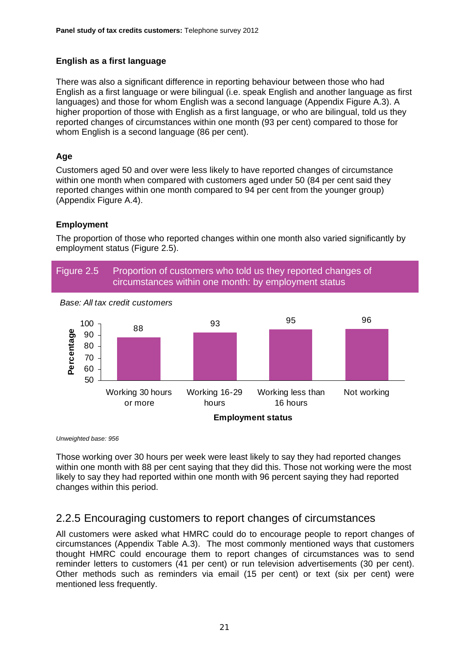#### **English as a first language**

There was also a significant difference in reporting behaviour between those who had English as a first language or were bilingual (i.e. speak English and another language as first languages) and those for whom English was a second language (Appendix Figure A.3). A higher proportion of those with English as a first language, or who are bilingual, told us they reported changes of circumstances within one month (93 per cent) compared to those for whom English is a second language (86 per cent).

#### **Age**

Customers aged 50 and over were less likely to have reported changes of circumstance within one month when compared with customers aged under 50 (84 per cent said they reported changes within one month compared to 94 per cent from the younger group) (Appendix Figure A.4).

#### **Employment**

The proportion of those who reported changes within one month also varied significantly by employment status (Figure 2.5).



*Unweighted base: 956* 

Those working over 30 hours per week were least likely to say they had reported changes within one month with 88 per cent saying that they did this. Those not working were the most likely to say they had reported within one month with 96 percent saying they had reported changes within this period.

#### 2.2.5 Encouraging customers to report changes of circumstances

All customers were asked what HMRC could do to encourage people to report changes of circumstances (Appendix Table A.3). The most commonly mentioned ways that customers thought HMRC could encourage them to report changes of circumstances was to send reminder letters to customers (41 per cent) or run television advertisements (30 per cent). Other methods such as reminders via email (15 per cent) or text (six per cent) were mentioned less frequently.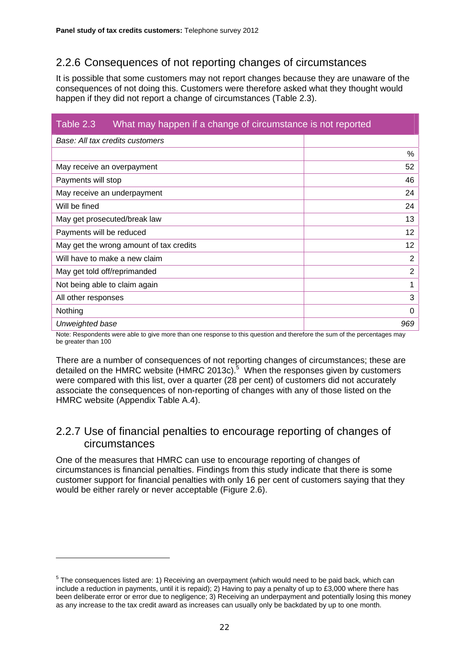# 2.2.6 Consequences of not reporting changes of circumstances

It is possible that some customers may not report changes because they are unaware of the consequences of not doing this. Customers were therefore asked what they thought would happen if they did not report a change of circumstances (Table 2.3).

| Table 2.3<br>What may happen if a change of circumstance is not reported |                |  |
|--------------------------------------------------------------------------|----------------|--|
| Base: All tax credits customers                                          |                |  |
|                                                                          | %              |  |
| May receive an overpayment                                               | 52             |  |
| Payments will stop                                                       | 46             |  |
| May receive an underpayment                                              | 24             |  |
| Will be fined<br>24                                                      |                |  |
| May get prosecuted/break law                                             |                |  |
| Payments will be reduced                                                 |                |  |
| May get the wrong amount of tax credits                                  |                |  |
| Will have to make a new claim                                            | $\overline{2}$ |  |
| May get told off/reprimanded                                             | $\overline{2}$ |  |
| Not being able to claim again                                            |                |  |
| All other responses                                                      | 3              |  |
| Nothing                                                                  | 0              |  |
| Unweighted base                                                          | 969            |  |

Note: Respondents were able to give more than one response to this question and therefore the sum of the percentages may be greater than 100

There are a number of consequences of not reporting changes of circumstances; these are detailed on the HMRC website (HMRC 2013c).<sup>5</sup> When the responses given by customers were compared with this list, over a quarter (28 per cent) of customers did not accurately associate the consequences of non-reporting of changes with any of those listed on the HMRC website (Appendix Table A.4).

## 2.2.7 Use of financial penalties to encourage reporting of changes of circumstances

One of the measures that HMRC can use to encourage reporting of changes of circumstances is financial penalties. Findings from this study indicate that there is some customer support for financial penalties with only 16 per cent of customers saying that they would be either rarely or never acceptable (Figure 2.6).

<sup>&</sup>lt;sup>5</sup> The consequences listed are: 1) Receiving an overpayment (which would need to be paid back, which can include a reduction in payments, until it is repaid); 2) Having to pay a penalty of up to £3,000 where there has been deliberate error or error due to negligence; 3) Receiving an underpayment and potentially losing this money as any increase to the tax credit award as increases can usually only be backdated by up to one month.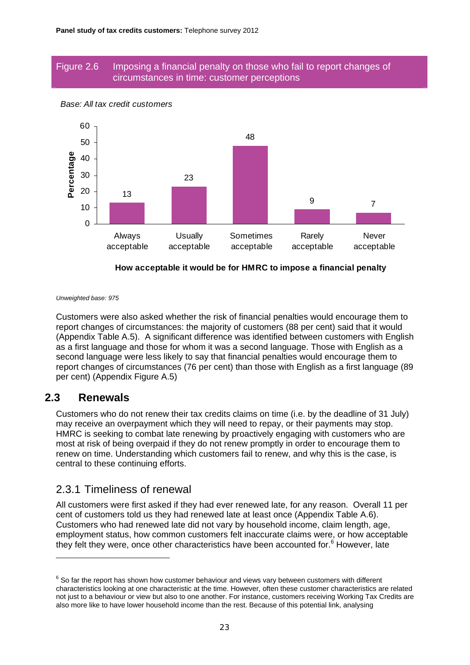#### Figure 2.6 Imposing a financial penalty on those who fail to report changes of circumstances in time: customer perceptions



#### *Base: All tax credit customers*

#### **How acceptable it would be for HMRC to impose a financial penalty**

*Unweighted base: 975* 

Customers were also asked whether the risk of financial penalties would encourage them to report changes of circumstances: the majority of customers (88 per cent) said that it would (Appendix Table A.5). A significant difference was identified between customers with English as a first language and those for whom it was a second language. Those with English as a second language were less likely to say that financial penalties would encourage them to report changes of circumstances (76 per cent) than those with English as a first language (89 per cent) (Appendix Figure A.5)

#### **2.3 Renewals**

Customers who do not renew their tax credits claims on time (i.e. by the deadline of 31 July) may receive an overpayment which they will need to repay, or their payments may stop. HMRC is seeking to combat late renewing by proactively engaging with customers who are most at risk of being overpaid if they do not renew promptly in order to encourage them to renew on time. Understanding which customers fail to renew, and why this is the case, is central to these continuing efforts.

#### 2.3.1 Timeliness of renewal

All customers were first asked if they had ever renewed late, for any reason. Overall 11 per cent of customers told us they had renewed late at least once (Appendix Table A.6). Customers who had renewed late did not vary by household income, claim length, age, employment status, how common customers felt inaccurate claims were, or how acceptable they felt they were, once other characteristics have been accounted for.<sup>6</sup> However, late

 $^6$  So far the report has shown how customer behaviour and views vary between customers with different characteristics looking at one characteristic at the time. However, often these customer characteristics are related not just to a behaviour or view but also to one another. For instance, customers receiving Working Tax Credits are also more like to have lower household income than the rest. Because of this potential link, analysing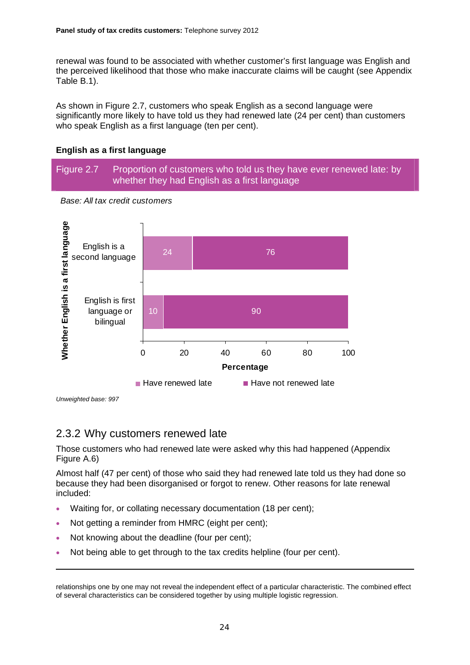renewal was found to be associated with whether customer's first language was English and the perceived likelihood that those who make inaccurate claims will be caught (see Appendix Table B.1).

As shown in Figure 2.7, customers who speak English as a second language were significantly more likely to have told us they had renewed late (24 per cent) than customers who speak English as a first language (ten per cent).

#### **English as a first language**

Figure 2.7 Proportion of customers who told us they have ever renewed late: by whether they had English as a first language



*Base: All tax credit customers* 

*Unweighted base: 997* 

## 2.3.2 Why customers renewed late

Those customers who had renewed late were asked why this had happened (Appendix Figure A.6)

Almost half (47 per cent) of those who said they had renewed late told us they had done so because they had been disorganised or forgot to renew. Other reasons for late renewal included:

- Waiting for, or collating necessary documentation (18 per cent);
- Not getting a reminder from HMRC (eight per cent);
- Not knowing about the deadline (four per cent);
- Not being able to get through to the tax credits helpline (four per cent).

relationships one by one may not reveal the independent effect of a particular characteristic. The combined effect of several characteristics can be considered together by using multiple logistic regression.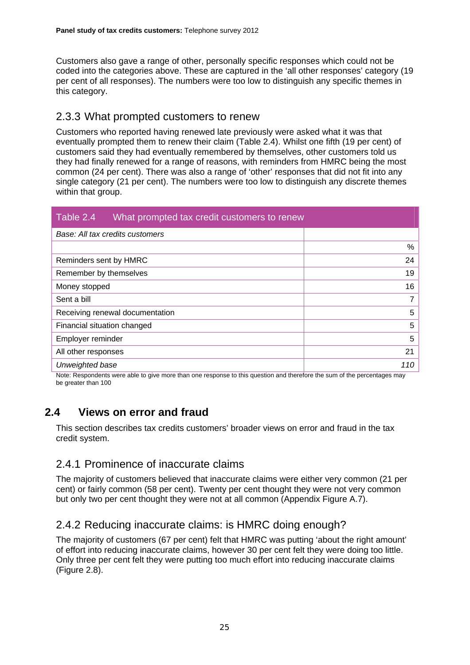Customers also gave a range of other, personally specific responses which could not be coded into the categories above. These are captured in the 'all other responses' category (19 per cent of all responses). The numbers were too low to distinguish any specific themes in this category.

## 2.3.3 What prompted customers to renew

Customers who reported having renewed late previously were asked what it was that eventually prompted them to renew their claim (Table 2.4). Whilst one fifth (19 per cent) of customers said they had eventually remembered by themselves, other customers told us they had finally renewed for a range of reasons, with reminders from HMRC being the most common (24 per cent). There was also a range of 'other' responses that did not fit into any single category (21 per cent). The numbers were too low to distinguish any discrete themes within that group.

| Table 2.4<br>What prompted tax credit customers to renew |     |
|----------------------------------------------------------|-----|
| Base: All tax credits customers                          |     |
|                                                          | %   |
| Reminders sent by HMRC                                   | 24  |
| Remember by themselves                                   | 19  |
| Money stopped                                            |     |
| Sent a bill                                              |     |
| Receiving renewal documentation                          |     |
| Financial situation changed                              |     |
| Employer reminder                                        | 5   |
| All other responses                                      | 21  |
| Unweighted base                                          | 110 |

Note: Respondents were able to give more than one response to this question and therefore the sum of the percentages may be greater than 100

# **2.4 Views on error and fraud**

This section describes tax credits customers' broader views on error and fraud in the tax credit system.

## 2.4.1 Prominence of inaccurate claims

The majority of customers believed that inaccurate claims were either very common (21 per cent) or fairly common (58 per cent). Twenty per cent thought they were not very common but only two per cent thought they were not at all common (Appendix Figure A.7).

# 2.4.2 Reducing inaccurate claims: is HMRC doing enough?

The majority of customers (67 per cent) felt that HMRC was putting 'about the right amount' of effort into reducing inaccurate claims, however 30 per cent felt they were doing too little. Only three per cent felt they were putting too much effort into reducing inaccurate claims (Figure 2.8).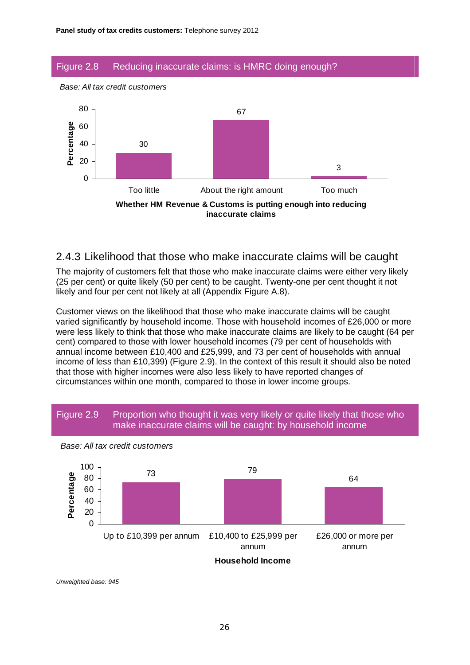#### Figure 2.8 Reducing inaccurate claims: is HMRC doing enough?





#### 2.4.3 Likelihood that those who make inaccurate claims will be caught

The majority of customers felt that those who make inaccurate claims were either very likely (25 per cent) or quite likely (50 per cent) to be caught. Twenty-one per cent thought it not likely and four per cent not likely at all (Appendix Figure A.8).

Customer views on the likelihood that those who make inaccurate claims will be caught varied significantly by household income. Those with household incomes of £26,000 or more were less likely to think that those who make inaccurate claims are likely to be caught (64 per cent) compared to those with lower household incomes (79 per cent of households with annual income between £10,400 and £25,999, and 73 per cent of households with annual income of less than £10,399) (Figure 2.9). In the context of this result it should also be noted that those with higher incomes were also less likely to have reported changes of circumstances within one month, compared to those in lower income groups.





*Base: All tax credit customers*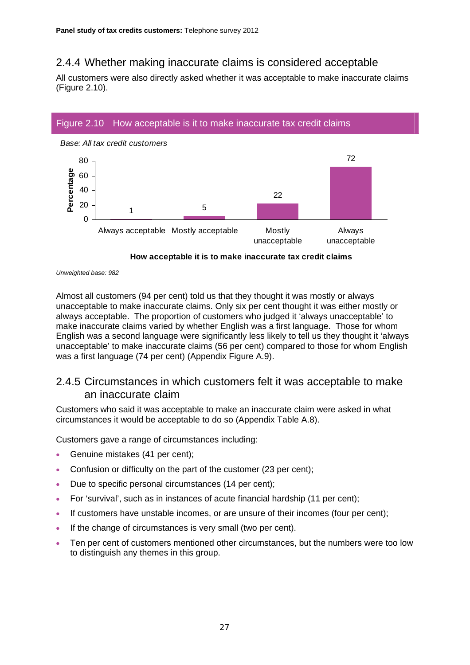# 2.4.4 Whether making inaccurate claims is considered acceptable

All customers were also directly asked whether it was acceptable to make inaccurate claims (Figure 2.10).

#### Figure 2.10 How acceptable is it to make inaccurate tax credit claims



#### **How acceptable it is to make inaccurate tax credit claims**

Almost all customers (94 per cent) told us that they thought it was mostly or always unacceptable to make inaccurate claims. Only six per cent thought it was either mostly or always acceptable. The proportion of customers who judged it 'always unacceptable' to make inaccurate claims varied by whether English was a first language. Those for whom English was a second language were significantly less likely to tell us they thought it 'always unacceptable' to make inaccurate claims (56 per cent) compared to those for whom English was a first language (74 per cent) (Appendix Figure A.9).

## 2.4.5 Circumstances in which customers felt it was acceptable to make an inaccurate claim

Customers who said it was acceptable to make an inaccurate claim were asked in what circumstances it would be acceptable to do so (Appendix Table A.8).

Customers gave a range of circumstances including:

- Genuine mistakes (41 per cent):
- Confusion or difficulty on the part of the customer (23 per cent);
- Due to specific personal circumstances (14 per cent);
- For 'survival', such as in instances of acute financial hardship (11 per cent);
- If customers have unstable incomes, or are unsure of their incomes (four per cent);
- If the change of circumstances is very small (two per cent).
- Ten per cent of customers mentioned other circumstances, but the numbers were too low to distinguish any themes in this group.

*Unweighted base: 982*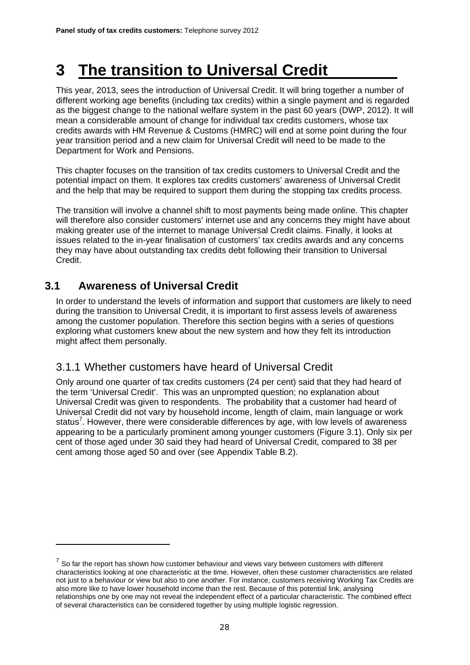# **3 The transition to Universal Credit**

This year, 2013, sees the introduction of Universal Credit. It will bring together a number of different working age benefits (including tax credits) within a single payment and is regarded as the biggest change to the national welfare system in the past 60 years (DWP, 2012). It will mean a considerable amount of change for individual tax credits customers, whose tax credits awards with HM Revenue & Customs (HMRC) will end at some point during the four year transition period and a new claim for Universal Credit will need to be made to the Department for Work and Pensions.

This chapter focuses on the transition of tax credits customers to Universal Credit and the potential impact on them. It explores tax credits customers' awareness of Universal Credit and the help that may be required to support them during the stopping tax credits process.

The transition will involve a channel shift to most payments being made online. This chapter will therefore also consider customers' internet use and any concerns they might have about making greater use of the internet to manage Universal Credit claims. Finally, it looks at issues related to the in-year finalisation of customers' tax credits awards and any concerns they may have about outstanding tax credits debt following their transition to Universal Credit.

## **3.1 Awareness of Universal Credit**

In order to understand the levels of information and support that customers are likely to need during the transition to Universal Credit, it is important to first assess levels of awareness among the customer population. Therefore this section begins with a series of questions exploring what customers knew about the new system and how they felt its introduction might affect them personally.

## 3.1.1 Whether customers have heard of Universal Credit

Only around one quarter of tax credits customers (24 per cent) said that they had heard of the term 'Universal Credit'. This was an unprompted question; no explanation about Universal Credit was given to respondents. The probability that a customer had heard of Universal Credit did not vary by household income, length of claim, main language or work status<sup>7</sup>. However, there were considerable differences by age, with low levels of awareness appearing to be a particularly prominent among younger customers (Figure 3.1). Only six per cent of those aged under 30 said they had heard of Universal Credit, compared to 38 per cent among those aged 50 and over (see Appendix Table B.2).

 $7$  So far the report has shown how customer behaviour and views vary between customers with different characteristics looking at one characteristic at the time. However, often these customer characteristics are related not just to a behaviour or view but also to one another. For instance, customers receiving Working Tax Credits are also more like to have lower household income than the rest. Because of this potential link, analysing relationships one by one may not reveal the independent effect of a particular characteristic. The combined effect of several characteristics can be considered together by using multiple logistic regression.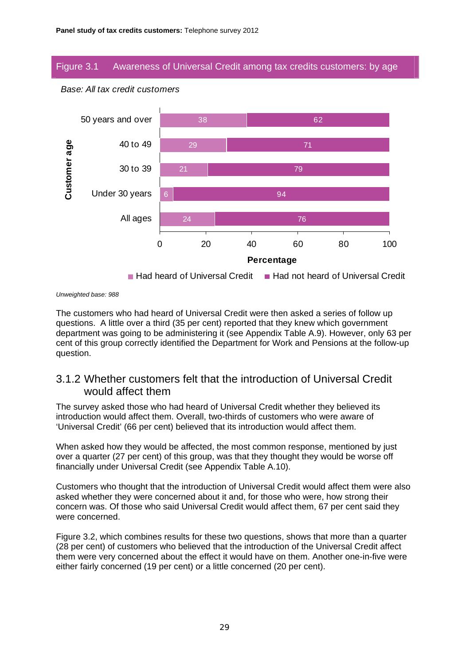### Figure 3.1 Awareness of Universal Credit among tax credits customers: by age



#### *Base: All tax credit customers*

*Unweighted base: 988* 

The customers who had heard of Universal Credit were then asked a series of follow up questions. A little over a third (35 per cent) reported that they knew which government department was going to be administering it (see Appendix Table A.9). However, only 63 per cent of this group correctly identified the Department for Work and Pensions at the follow-up question.

## 3.1.2 Whether customers felt that the introduction of Universal Credit would affect them

The survey asked those who had heard of Universal Credit whether they believed its introduction would affect them. Overall, two-thirds of customers who were aware of 'Universal Credit' (66 per cent) believed that its introduction would affect them.

When asked how they would be affected, the most common response, mentioned by just over a quarter (27 per cent) of this group, was that they thought they would be worse off financially under Universal Credit (see Appendix Table A.10).

Customers who thought that the introduction of Universal Credit would affect them were also asked whether they were concerned about it and, for those who were, how strong their concern was. Of those who said Universal Credit would affect them, 67 per cent said they were concerned.

Figure 3.2, which combines results for these two questions, shows that more than a quarter (28 per cent) of customers who believed that the introduction of the Universal Credit affect them were very concerned about the effect it would have on them. Another one-in-five were either fairly concerned (19 per cent) or a little concerned (20 per cent).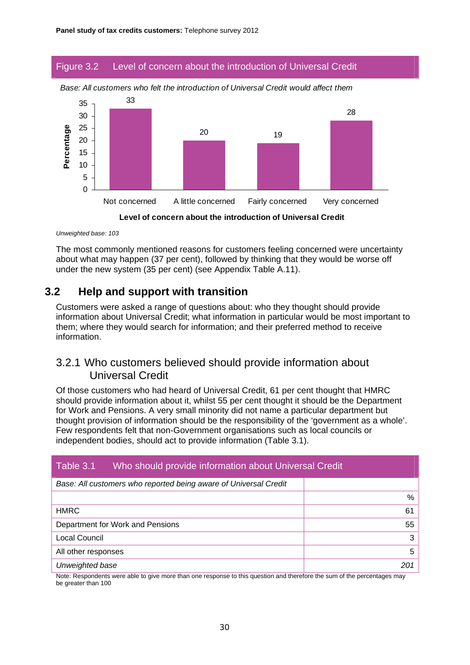#### Figure 3.2 Level of concern about the introduction of Universal Credit



*Base: All customers who felt the introduction of Universal Credit would affect them* 



*Unweighted base: 103* 

The most commonly mentioned reasons for customers feeling concerned were uncertainty about what may happen (37 per cent), followed by thinking that they would be worse off under the new system (35 per cent) (see Appendix Table A.11).

## **3.2 Help and support with transition**

Customers were asked a range of questions about: who they thought should provide information about Universal Credit; what information in particular would be most important to them; where they would search for information; and their preferred method to receive information.

## 3.2.1 Who customers believed should provide information about Universal Credit

Of those customers who had heard of Universal Credit, 61 per cent thought that HMRC should provide information about it, whilst 55 per cent thought it should be the Department for Work and Pensions. A very small minority did not name a particular department but thought provision of information should be the responsibility of the 'government as a whole'. Few respondents felt that non-Government organisations such as local councils or independent bodies, should act to provide information (Table 3.1).

| Table 3.1<br>Who should provide information about Universal Credit |     |
|--------------------------------------------------------------------|-----|
| Base: All customers who reported being aware of Universal Credit   |     |
|                                                                    | %   |
| <b>HMRC</b>                                                        | 61  |
| Department for Work and Pensions                                   | 55  |
| Local Council                                                      | 3   |
| All other responses                                                | 5   |
| Unweighted base                                                    | 201 |

Note: Respondents were able to give more than one response to this question and therefore the sum of the percentages may be greater than 100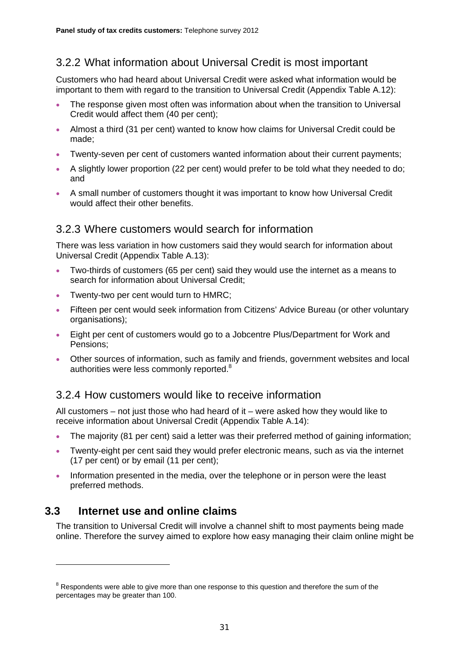## 3.2.2 What information about Universal Credit is most important

Customers who had heard about Universal Credit were asked what information would be important to them with regard to the transition to Universal Credit (Appendix Table A.12):

- The response given most often was information about when the transition to Universal Credit would affect them (40 per cent);
- Almost a third (31 per cent) wanted to know how claims for Universal Credit could be made;
- Twenty-seven per cent of customers wanted information about their current payments;
- A slightly lower proportion (22 per cent) would prefer to be told what they needed to do; and
- A small number of customers thought it was important to know how Universal Credit would affect their other benefits.

### 3.2.3 Where customers would search for information

There was less variation in how customers said they would search for information about Universal Credit (Appendix Table A.13):

- Two-thirds of customers (65 per cent) said they would use the internet as a means to search for information about Universal Credit;
- Twenty-two per cent would turn to HMRC;
- Fifteen per cent would seek information from Citizens' Advice Bureau (or other voluntary organisations);
- Eight per cent of customers would go to a Jobcentre Plus/Department for Work and Pensions;
- Other sources of information, such as family and friends, government websites and local authorities were less commonly reported.<sup>8</sup>

## 3.2.4 How customers would like to receive information

All customers – not just those who had heard of it – were asked how they would like to receive information about Universal Credit (Appendix Table A.14):

- The majority (81 per cent) said a letter was their preferred method of gaining information;
- Twenty-eight per cent said they would prefer electronic means, such as via the internet (17 per cent) or by email (11 per cent);
- Information presented in the media, over the telephone or in person were the least preferred methods.

## **3.3 Internet use and online claims**

The transition to Universal Credit will involve a channel shift to most payments being made online. Therefore the survey aimed to explore how easy managing their claim online might be

 $8$  Respondents were able to give more than one response to this question and therefore the sum of the percentages may be greater than 100.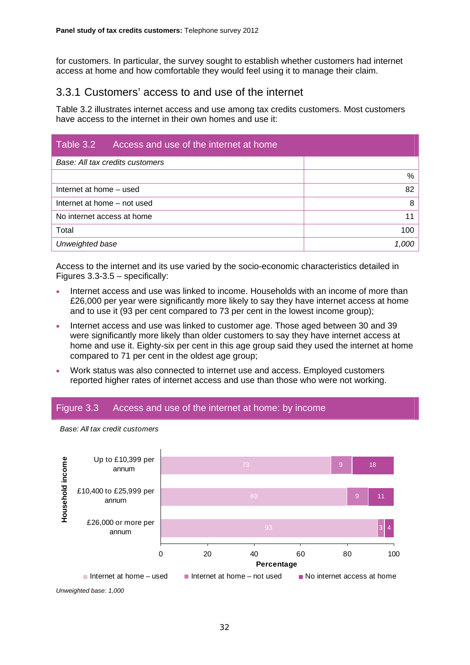for customers. In particular, the survey sought to establish whether customers had internet access at home and how comfortable they would feel using it to manage their claim.

## 3.3.1 Customers' access to and use of the internet

Table 3.2 illustrates internet access and use among tax credits customers. Most customers have access to the internet in their own homes and use it:

| Table 3.2<br>Access and use of the internet at home |       |
|-----------------------------------------------------|-------|
| Base: All tax credits customers                     |       |
|                                                     | $\%$  |
| 82<br>Internet at home - used                       |       |
| Internet at home - not used                         |       |
| No internet access at home                          | 11    |
| Total                                               | 100   |
| Unweighted base                                     | 1,000 |

Access to the internet and its use varied by the socio-economic characteristics detailed in Figures 3.3-3.5 – specifically:

- Internet access and use was linked to income. Households with an income of more than £26,000 per year were significantly more likely to say they have internet access at home and to use it (93 per cent compared to 73 per cent in the lowest income group);
- Internet access and use was linked to customer age. Those aged between 30 and 39 were significantly more likely than older customers to say they have internet access at home and use it. Eighty-six per cent in this age group said they used the internet at home compared to 71 per cent in the oldest age group;
- Work status was also connected to internet use and access. Employed customers reported higher rates of internet access and use than those who were not working.

#### Figure 3.3 Access and use of the internet at home: by income

*Base: All tax credit customers* 



*Unweighted base: 1,000*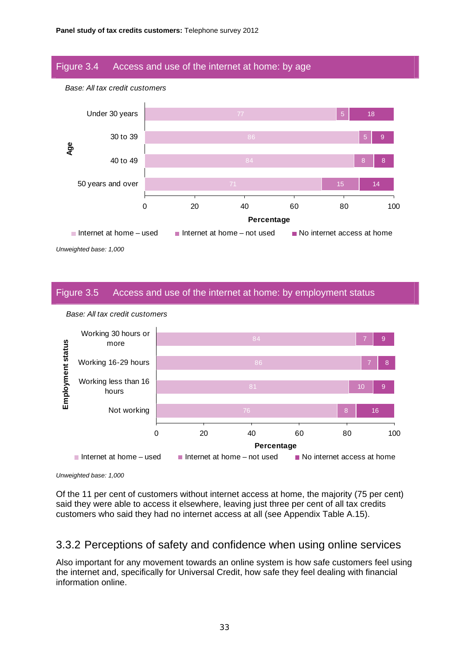#### Figure 3.4 Access and use of the internet at home: by age



*Unweighted base: 1,000* 

#### Figure 3.5 Access and use of the internet at home: by employment status



*Base: All tax credit customers* 

*Base: All tax credit customers* 

*Unweighted base: 1,000* 

Of the 11 per cent of customers without internet access at home, the majority (75 per cent) said they were able to access it elsewhere, leaving just three per cent of all tax credits customers who said they had no internet access at all (see Appendix Table A.15).

#### 3.3.2 Perceptions of safety and confidence when using online services

Also important for any movement towards an online system is how safe customers feel using the internet and, specifically for Universal Credit, how safe they feel dealing with financial information online.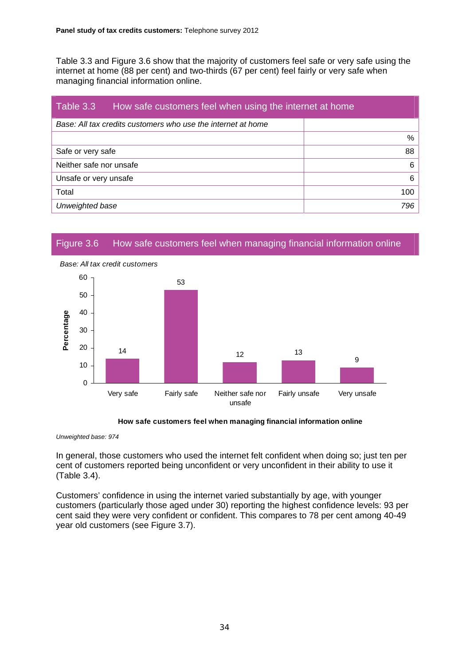Table 3.3 and Figure 3.6 show that the majority of customers feel safe or very safe using the internet at home (88 per cent) and two-thirds (67 per cent) feel fairly or very safe when managing financial information online.

| Table 3.3<br>How safe customers feel when using the internet at home |     |
|----------------------------------------------------------------------|-----|
| Base: All tax credits customers who use the internet at home         |     |
|                                                                      | %   |
| Safe or very safe                                                    | 88  |
| Neither safe nor unsafe                                              | 6   |
| Unsafe or very unsafe                                                | 6   |
| Total                                                                | 100 |
| Unweighted base                                                      | 796 |

#### Figure 3.6 How safe customers feel when managing financial information online



#### **How safe customers feel when managing financial information online**

*Unweighted base: 974* 

In general, those customers who used the internet felt confident when doing so; just ten per cent of customers reported being unconfident or very unconfident in their ability to use it (Table 3.4).

Customers' confidence in using the internet varied substantially by age, with younger customers (particularly those aged under 30) reporting the highest confidence levels: 93 per cent said they were very confident or confident. This compares to 78 per cent among 40-49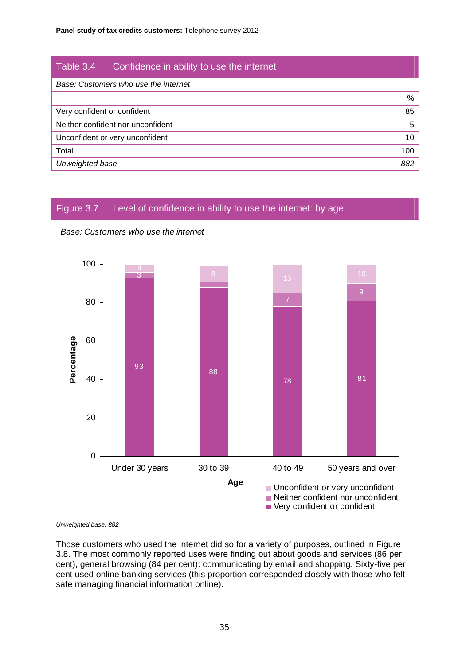| Table 3.4                   | Confidence in ability to use the internet |     |
|-----------------------------|-------------------------------------------|-----|
|                             | Base: Customers who use the internet      |     |
|                             |                                           | %   |
| Very confident or confident |                                           | 85  |
|                             | Neither confident nor unconfident         | 5   |
|                             | Unconfident or very unconfident           | 10  |
| Total                       |                                           | 100 |
| Unweighted base             |                                           | 882 |

## Figure 3.7 Level of confidence in ability to use the internet: by age





#### *Unweighted base: 882*

Those customers who used the internet did so for a variety of purposes, outlined in Figure 3.8. The most commonly reported uses were finding out about goods and services (86 per cent), general browsing (84 per cent): communicating by email and shopping. Sixty-five per cent used online banking services (this proportion corresponded closely with those who felt safe managing financial information online).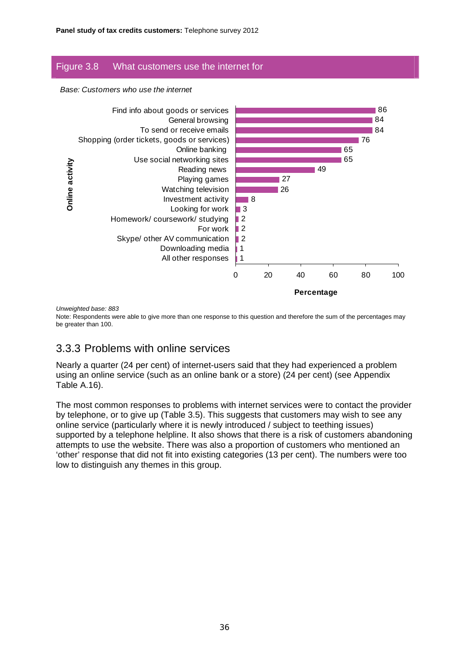### Figure 3.8 What customers use the internet for

*Base: Customers who use the internet* 



*Unweighted base: 883* 

Note: Respondents were able to give more than one response to this question and therefore the sum of the percentages may be greater than 100.

## 3.3.3 Problems with online services

Nearly a quarter (24 per cent) of internet-users said that they had experienced a problem using an online service (such as an online bank or a store) (24 per cent) (see Appendix Table A.16).

The most common responses to problems with internet services were to contact the provider by telephone, or to give up (Table 3.5). This suggests that customers may wish to see any online service (particularly where it is newly introduced / subject to teething issues) supported by a telephone helpline. It also shows that there is a risk of customers abandoning attempts to use the website. There was also a proportion of customers who mentioned an 'other' response that did not fit into existing categories (13 per cent). The numbers were too low to distinguish any themes in this group.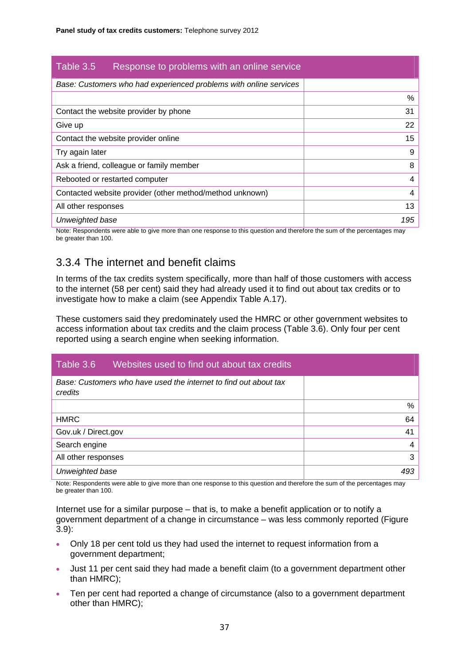| Table 3.5<br>Response to problems with an online service          |     |
|-------------------------------------------------------------------|-----|
| Base: Customers who had experienced problems with online services |     |
|                                                                   | %   |
| Contact the website provider by phone                             | 31  |
| Give up                                                           | 22  |
| Contact the website provider online                               | 15  |
| Try again later                                                   | 9   |
| Ask a friend, colleague or family member                          | 8   |
| Rebooted or restarted computer                                    | 4   |
| Contacted website provider (other method/method unknown)          | 4   |
| All other responses                                               | 13  |
| Unweighted base                                                   | 195 |

Note: Respondents were able to give more than one response to this question and therefore the sum of the percentages may be greater than 100.

## 3.3.4 The internet and benefit claims

In terms of the tax credits system specifically, more than half of those customers with access to the internet (58 per cent) said they had already used it to find out about tax credits or to investigate how to make a claim (see Appendix Table A.17).

These customers said they predominately used the HMRC or other government websites to access information about tax credits and the claim process (Table 3.6). Only four per cent reported using a search engine when seeking information.

| Table 3.6<br>Websites used to find out about tax credits                    |     |
|-----------------------------------------------------------------------------|-----|
| Base: Customers who have used the internet to find out about tax<br>credits |     |
|                                                                             | %   |
| <b>HMRC</b>                                                                 | 64  |
| Gov.uk / Direct.gov                                                         | 41  |
| Search engine                                                               | 4   |
| All other responses                                                         | 3   |
| Unweighted base                                                             | 493 |

Note: Respondents were able to give more than one response to this question and therefore the sum of the percentages may be greater than 100.

Internet use for a similar purpose – that is, to make a benefit application or to notify a government department of a change in circumstance – was less commonly reported (Figure 3.9):

- Only 18 per cent told us they had used the internet to request information from a government department;
- Just 11 per cent said they had made a benefit claim (to a government department other than HMRC);
- Ten per cent had reported a change of circumstance (also to a government department other than HMRC);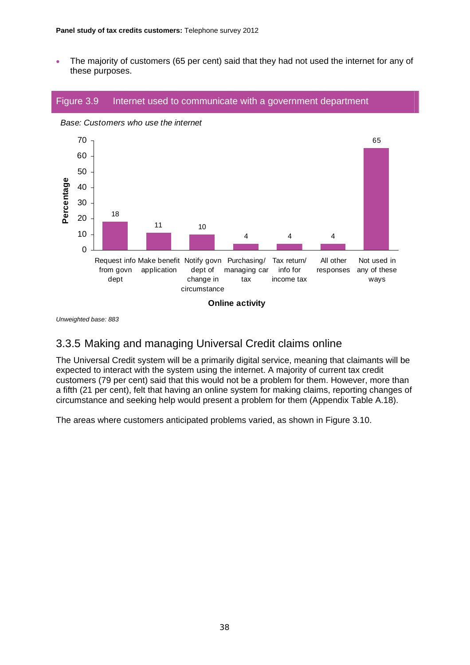• The majority of customers (65 per cent) said that they had not used the internet for any of these purposes.



*Unweighted base: 883* 

## 3.3.5 Making and managing Universal Credit claims online

The Universal Credit system will be a primarily digital service, meaning that claimants will be expected to interact with the system using the internet. A majority of current tax credit customers (79 per cent) said that this would not be a problem for them. However, more than a fifth (21 per cent), felt that having an online system for making claims, reporting changes of circumstance and seeking help would present a problem for them (Appendix Table A.18).

The areas where customers anticipated problems varied, as shown in Figure 3.10.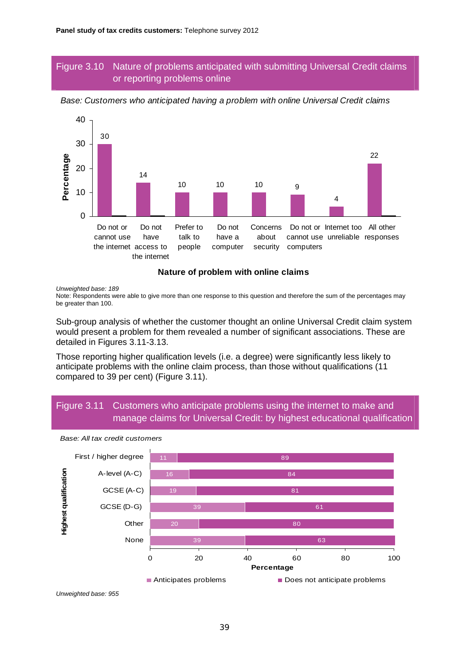### Figure 3.10 Nature of problems anticipated with submitting Universal Credit claims or reporting problems online



*Base: Customers who anticipated having a problem with online Universal Credit claims* 

#### **Nature of problem with online claims**

*Unweighted base: 189* 

Note: Respondents were able to give more than one response to this question and therefore the sum of the percentages may be greater than 100.

Sub-group analysis of whether the customer thought an online Universal Credit claim system would present a problem for them revealed a number of significant associations. These are detailed in Figures 3.11-3.13.

Those reporting higher qualification levels (i.e. a degree) were significantly less likely to anticipate problems with the online claim process, than those without qualifications (11 compared to 39 per cent) (Figure 3.11).

### Figure 3.11 Customers who anticipate problems using the internet to make and manage claims for Universal Credit: by highest educational qualification



*Base: All tax credit customers*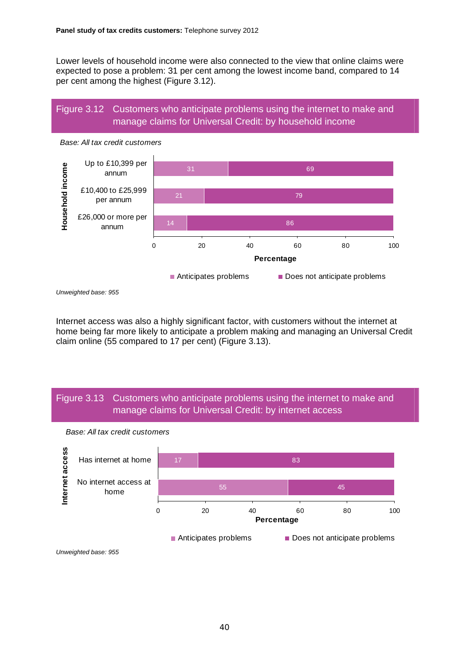Lower levels of household income were also connected to the view that online claims were expected to pose a problem: 31 per cent among the lowest income band, compared to 14 per cent among the highest (Figure 3.12).

### Figure 3.12 Customers who anticipate problems using the internet to make and manage claims for Universal Credit: by household income



*Unweighted base: 955* 

Internet access was also a highly significant factor, with customers without the internet at home being far more likely to anticipate a problem making and managing an Universal Credit claim online (55 compared to 17 per cent) (Figure 3.13).

#### Figure 3.13 Customers who anticipate problems using the internet to make and manage claims for Universal Credit: by internet access



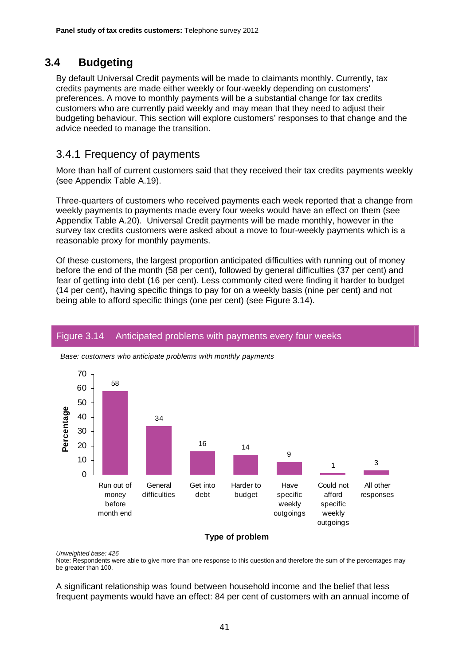## **3.4 Budgeting**

By default Universal Credit payments will be made to claimants monthly. Currently, tax credits payments are made either weekly or four-weekly depending on customers' preferences. A move to monthly payments will be a substantial change for tax credits customers who are currently paid weekly and may mean that they need to adjust their budgeting behaviour. This section will explore customers' responses to that change and the advice needed to manage the transition.

## 3.4.1 Frequency of payments

More than half of current customers said that they received their tax credits payments weekly (see Appendix Table A.19).

Three-quarters of customers who received payments each week reported that a change from weekly payments to payments made every four weeks would have an effect on them (see Appendix Table A.20). Universal Credit payments will be made monthly, however in the survey tax credits customers were asked about a move to four-weekly payments which is a reasonable proxy for monthly payments.

Of these customers, the largest proportion anticipated difficulties with running out of money before the end of the month (58 per cent), followed by general difficulties (37 per cent) and fear of getting into debt (16 per cent). Less commonly cited were finding it harder to budget (14 per cent), having specific things to pay for on a weekly basis (nine per cent) and not being able to afford specific things (one per cent) (see Figure 3.14).

## Figure 3.14 Anticipated problems with payments every four weeks



*Base: customers who anticipate problems with monthly payments* 

#### **Type of problem**

*Unweighted base: 426* 

Note: Respondents were able to give more than one response to this question and therefore the sum of the percentages may be greater than 100.

A significant relationship was found between household income and the belief that less frequent payments would have an effect: 84 per cent of customers with an annual income of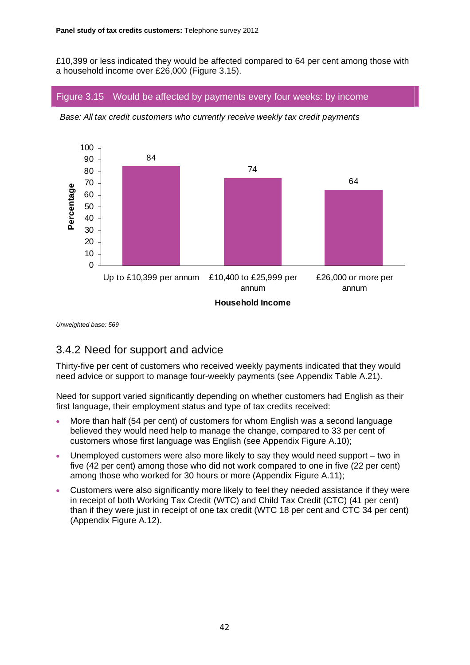£10,399 or less indicated they would be affected compared to 64 per cent among those with a household income over £26,000 (Figure 3.15).

#### Figure 3.15 Would be affected by payments every four weeks: by income



*Base: All tax credit customers who currently receive weekly tax credit payments* 

*Unweighted base: 569* 

## 3.4.2 Need for support and advice

Thirty-five per cent of customers who received weekly payments indicated that they would need advice or support to manage four-weekly payments (see Appendix Table A.21).

Need for support varied significantly depending on whether customers had English as their first language, their employment status and type of tax credits received:

- More than half (54 per cent) of customers for whom English was a second language believed they would need help to manage the change, compared to 33 per cent of customers whose first language was English (see Appendix Figure A.10);
- Unemployed customers were also more likely to say they would need support two in five (42 per cent) among those who did not work compared to one in five (22 per cent) among those who worked for 30 hours or more (Appendix Figure A.11);
- Customers were also significantly more likely to feel they needed assistance if they were in receipt of both Working Tax Credit (WTC) and Child Tax Credit (CTC) (41 per cent) than if they were just in receipt of one tax credit (WTC 18 per cent and CTC 34 per cent) (Appendix Figure A.12).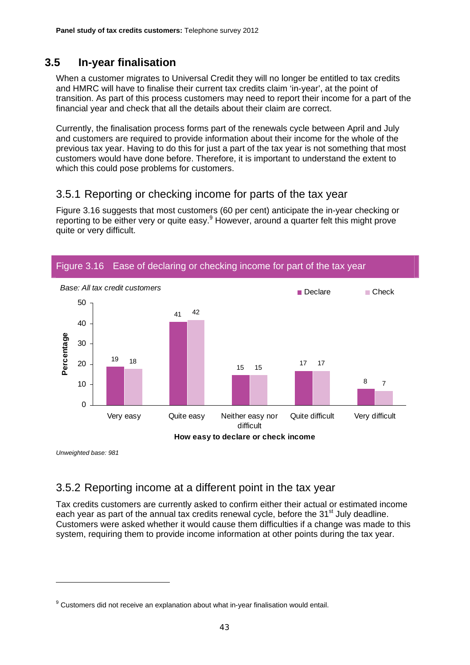# **3.5 In-year finalisation**

When a customer migrates to Universal Credit they will no longer be entitled to tax credits and HMRC will have to finalise their current tax credits claim 'in-year', at the point of transition. As part of this process customers may need to report their income for a part of the financial year and check that all the details about their claim are correct.

Currently, the finalisation process forms part of the renewals cycle between April and July and customers are required to provide information about their income for the whole of the previous tax year. Having to do this for just a part of the tax year is not something that most customers would have done before. Therefore, it is important to understand the extent to which this could pose problems for customers.

## 3.5.1 Reporting or checking income for parts of the tax year

Figure 3.16 suggests that most customers (60 per cent) anticipate the in-year checking or reporting to be either very or quite easy.<sup>9</sup> However, around a quarter felt this might prove quite or very difficult.



*Unweighted base: 981* 

# 3.5.2 Reporting income at a different point in the tax year

Tax credits customers are currently asked to confirm either their actual or estimated income each year as part of the annual tax credits renewal cycle, before the 31<sup>st</sup> July deadline. Customers were asked whether it would cause them difficulties if a change was made to this system, requiring them to provide income information at other points during the tax year.

 $9$  Customers did not receive an explanation about what in-year finalisation would entail.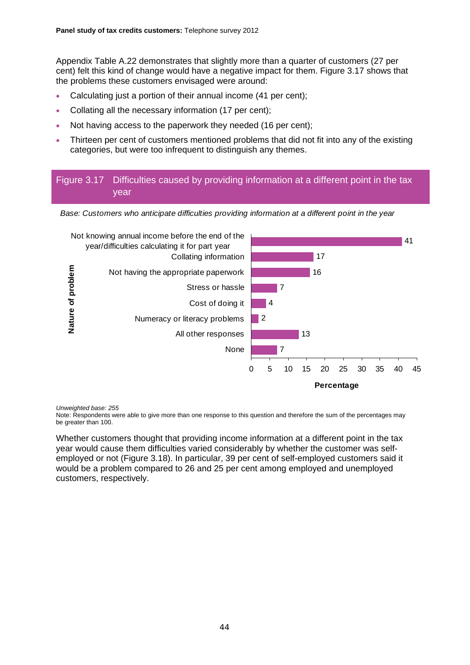Appendix Table A.22 demonstrates that slightly more than a quarter of customers (27 per cent) felt this kind of change would have a negative impact for them. Figure 3.17 shows that the problems these customers envisaged were around:

- Calculating just a portion of their annual income (41 per cent);
- Collating all the necessary information (17 per cent);
- Not having access to the paperwork they needed (16 per cent);
- Thirteen per cent of customers mentioned problems that did not fit into any of the existing categories, but were too infrequent to distinguish any themes.

### Figure 3.17 Difficulties caused by providing information at a different point in the tax year





*Unweighted base: 255* 

Note: Respondents were able to give more than one response to this question and therefore the sum of the percentages may be greater than 100.

Whether customers thought that providing income information at a different point in the tax year would cause them difficulties varied considerably by whether the customer was selfemployed or not (Figure 3.18). In particular, 39 per cent of self-employed customers said it would be a problem compared to 26 and 25 per cent among employed and unemployed customers, respectively.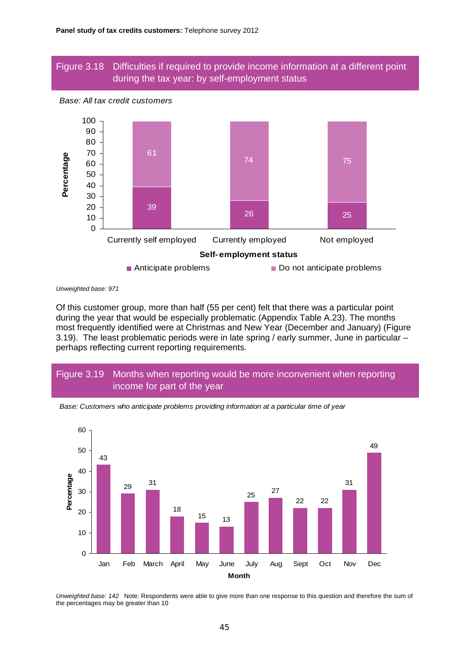#### Figure 3.18 Difficulties if required to provide income information at a different point during the tax year: by self-employment status



*Unweighted base: 971* 

Of this customer group, more than half (55 per cent) felt that there was a particular point during the year that would be especially problematic (Appendix Table A.23). The months most frequently identified were at Christmas and New Year (December and January) (Figure 3.19). The least problematic periods were in late spring / early summer, June in particular – perhaps reflecting current reporting requirements.

## Figure 3.19 Months when reporting would be more inconvenient when reporting income for part of the year



*Base: Customers who anticipate problems providing information at a particular time of year* 

*Unweighted base: 142* Note: Respondents were able to give more than one response to this question and therefore the sum of the percentages may be greater than 10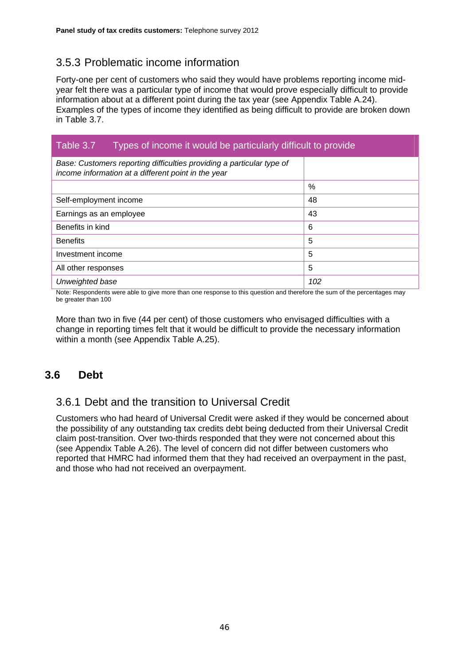# 3.5.3 Problematic income information

Forty-one per cent of customers who said they would have problems reporting income midyear felt there was a particular type of income that would prove especially difficult to provide information about at a different point during the tax year (see Appendix Table A.24). Examples of the types of income they identified as being difficult to provide are broken down in Table 3.7.

## Table 3.7 Types of income it would be particularly difficult to provide

| Base: Customers reporting difficulties providing a particular type of<br>income information at a different point in the year |      |
|------------------------------------------------------------------------------------------------------------------------------|------|
|                                                                                                                              | $\%$ |
| Self-employment income                                                                                                       | 48   |
| Earnings as an employee                                                                                                      | 43   |
| Benefits in kind                                                                                                             | 6    |
| <b>Benefits</b>                                                                                                              | 5    |
| Investment income                                                                                                            | 5    |
| All other responses                                                                                                          | 5    |
| Unweighted base                                                                                                              | 102  |

Note: Respondents were able to give more than one response to this question and therefore the sum of the percentages may be greater than 100

More than two in five (44 per cent) of those customers who envisaged difficulties with a change in reporting times felt that it would be difficult to provide the necessary information within a month (see Appendix Table A.25).

## **3.6 Debt**

## 3.6.1 Debt and the transition to Universal Credit

Customers who had heard of Universal Credit were asked if they would be concerned about the possibility of any outstanding tax credits debt being deducted from their Universal Credit claim post-transition. Over two-thirds responded that they were not concerned about this (see Appendix Table A.26). The level of concern did not differ between customers who reported that HMRC had informed them that they had received an overpayment in the past, and those who had not received an overpayment.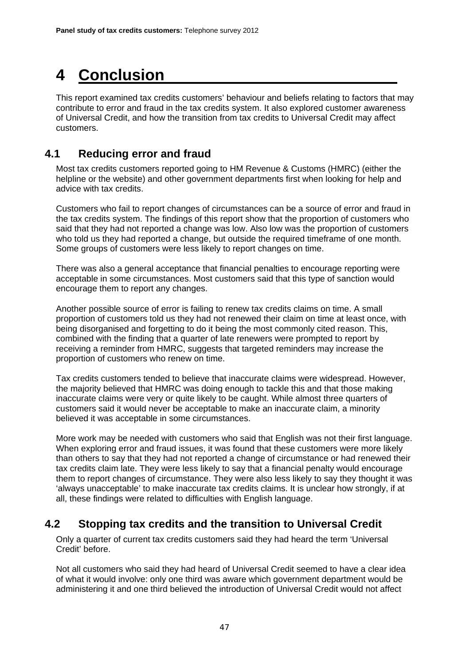# **4 Conclusion**

This report examined tax credits customers' behaviour and beliefs relating to factors that may contribute to error and fraud in the tax credits system. It also explored customer awareness of Universal Credit, and how the transition from tax credits to Universal Credit may affect customers.

## **4.1 Reducing error and fraud**

Most tax credits customers reported going to HM Revenue & Customs (HMRC) (either the helpline or the website) and other government departments first when looking for help and advice with tax credits.

Customers who fail to report changes of circumstances can be a source of error and fraud in the tax credits system. The findings of this report show that the proportion of customers who said that they had not reported a change was low. Also low was the proportion of customers who told us they had reported a change, but outside the required timeframe of one month. Some groups of customers were less likely to report changes on time.

There was also a general acceptance that financial penalties to encourage reporting were acceptable in some circumstances. Most customers said that this type of sanction would encourage them to report any changes.

Another possible source of error is failing to renew tax credits claims on time. A small proportion of customers told us they had not renewed their claim on time at least once, with being disorganised and forgetting to do it being the most commonly cited reason. This, combined with the finding that a quarter of late renewers were prompted to report by receiving a reminder from HMRC, suggests that targeted reminders may increase the proportion of customers who renew on time.

Tax credits customers tended to believe that inaccurate claims were widespread. However, the majority believed that HMRC was doing enough to tackle this and that those making inaccurate claims were very or quite likely to be caught. While almost three quarters of customers said it would never be acceptable to make an inaccurate claim, a minority believed it was acceptable in some circumstances.

More work may be needed with customers who said that English was not their first language. When exploring error and fraud issues, it was found that these customers were more likely than others to say that they had not reported a change of circumstance or had renewed their tax credits claim late. They were less likely to say that a financial penalty would encourage them to report changes of circumstance. They were also less likely to say they thought it was 'always unacceptable' to make inaccurate tax credits claims. It is unclear how strongly, if at all, these findings were related to difficulties with English language.

## **4.2 Stopping tax credits and the transition to Universal Credit**

Only a quarter of current tax credits customers said they had heard the term 'Universal Credit' before.

Not all customers who said they had heard of Universal Credit seemed to have a clear idea of what it would involve: only one third was aware which government department would be administering it and one third believed the introduction of Universal Credit would not affect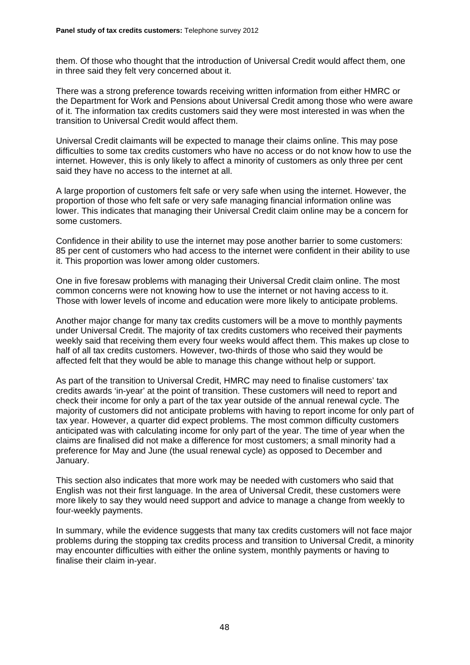them. Of those who thought that the introduction of Universal Credit would affect them, one in three said they felt very concerned about it.

There was a strong preference towards receiving written information from either HMRC or the Department for Work and Pensions about Universal Credit among those who were aware of it. The information tax credits customers said they were most interested in was when the transition to Universal Credit would affect them.

Universal Credit claimants will be expected to manage their claims online. This may pose difficulties to some tax credits customers who have no access or do not know how to use the internet. However, this is only likely to affect a minority of customers as only three per cent said they have no access to the internet at all.

A large proportion of customers felt safe or very safe when using the internet. However, the proportion of those who felt safe or very safe managing financial information online was lower. This indicates that managing their Universal Credit claim online may be a concern for some customers.

Confidence in their ability to use the internet may pose another barrier to some customers: 85 per cent of customers who had access to the internet were confident in their ability to use it. This proportion was lower among older customers.

One in five foresaw problems with managing their Universal Credit claim online. The most common concerns were not knowing how to use the internet or not having access to it. Those with lower levels of income and education were more likely to anticipate problems.

Another major change for many tax credits customers will be a move to monthly payments under Universal Credit. The majority of tax credits customers who received their payments weekly said that receiving them every four weeks would affect them. This makes up close to half of all tax credits customers. However, two-thirds of those who said they would be affected felt that they would be able to manage this change without help or support.

As part of the transition to Universal Credit, HMRC may need to finalise customers' tax credits awards 'in-year' at the point of transition. These customers will need to report and check their income for only a part of the tax year outside of the annual renewal cycle. The majority of customers did not anticipate problems with having to report income for only part of tax year. However, a quarter did expect problems. The most common difficulty customers anticipated was with calculating income for only part of the year. The time of year when the claims are finalised did not make a difference for most customers; a small minority had a preference for May and June (the usual renewal cycle) as opposed to December and January.

This section also indicates that more work may be needed with customers who said that English was not their first language. In the area of Universal Credit, these customers were more likely to say they would need support and advice to manage a change from weekly to four-weekly payments.

In summary, while the evidence suggests that many tax credits customers will not face major problems during the stopping tax credits process and transition to Universal Credit, a minority may encounter difficulties with either the online system, monthly payments or having to finalise their claim in-year.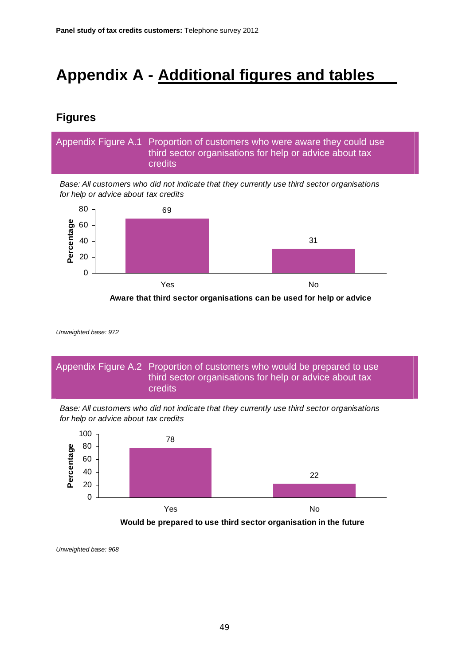# **Appendix A - Additional figures and tables**

## **Figures**

Appendix Figure A.1 Proportion of customers who were aware they could use third sector organisations for help or advice about tax credits

*Base: All customers who did not indicate that they currently use third sector organisations for help or advice about tax credits* 



**Aware that third sector organisations can be used for help or advice** 

*Unweighted base: 972* 



*Base: All customers who did not indicate that they currently use third sector organisations for help or advice about tax credits* 



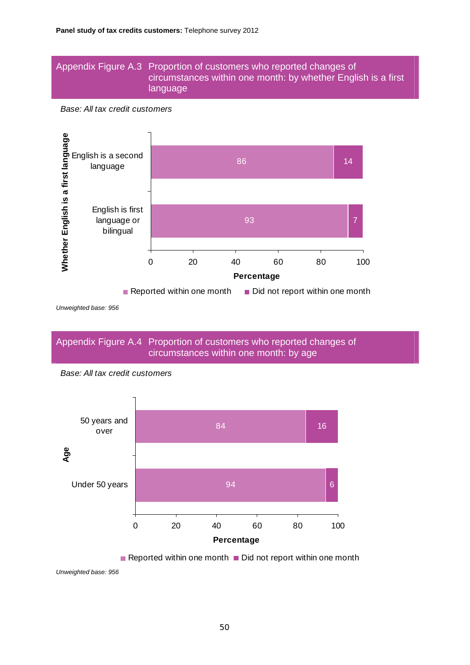#### Appendix Figure A.3 Proportion of customers who reported changes of circumstances within one month: by whether English is a first language

*Base: All tax credit customers* 



*Unweighted base: 956* 

Appendix Figure A.4 Proportion of customers who reported changes of circumstances within one month: by age



*Base: All tax credit customers* 

Reported within one month  $\blacksquare$  Did not report within one month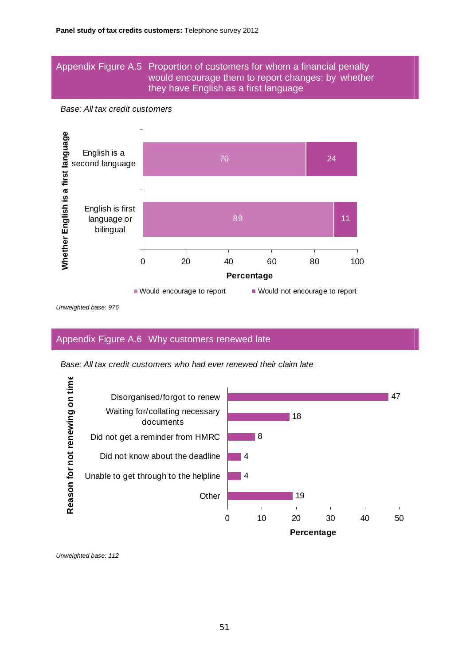#### Appendix Figure A.5 Proportion of customers for whom a financial penalty would encourage them to report changes: by whether they have English as a first language

*Base: All tax credit customers* 



*Unweighted base: 976* 

### Appendix Figure A.6 Why customers renewed late

*Base: All tax credit customers who had ever renewed their claim late* 

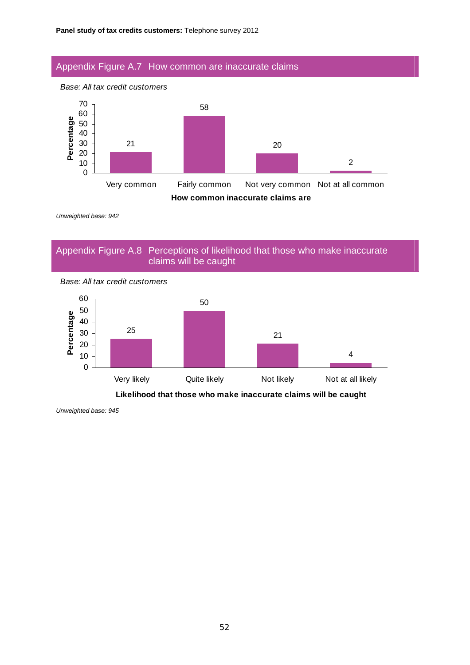#### Appendix Figure A.7 How common are inaccurate claims





*Unweighted base: 942* 

### Appendix Figure A.8 Perceptions of likelihood that those who make inaccurate claims will be caught



*Base: All tax credit customers* 

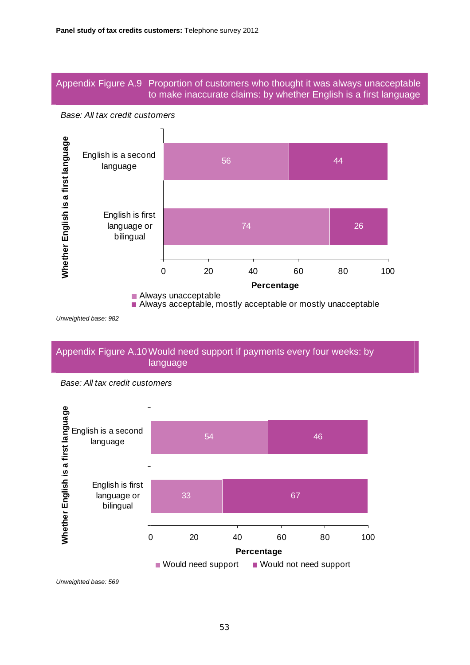### Appendix Figure A.9 Proportion of customers who thought it was always unacceptable to make inaccurate claims: by whether English is a first language





*Unweighted base: 982* 

#### Appendix Figure A.10 Would need support if payments every four weeks: by language



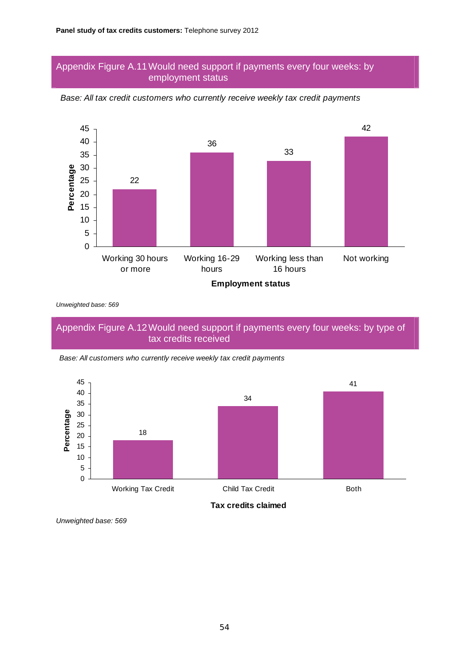#### Appendix Figure A.11 Would need support if payments every four weeks: by employment status



*Base: All tax credit customers who currently receive weekly tax credit payments* 

*Unweighted base: 569* 

#### Appendix Figure A.12 Would need support if payments every four weeks: by type of tax credits received



*Base: All customers who currently receive weekly tax credit payments*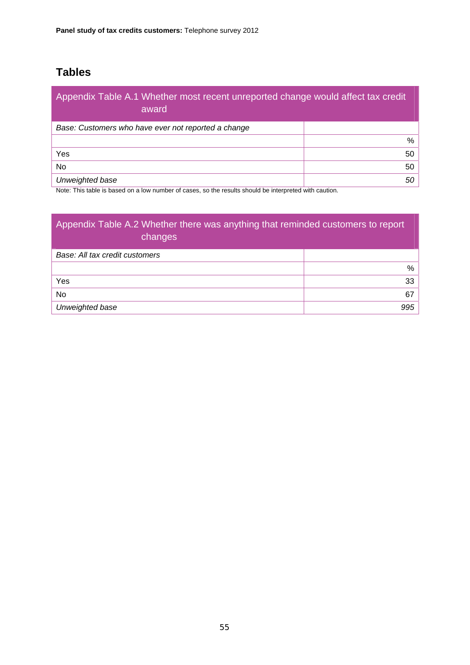# **Tables**

| Appendix Table A.1 Whether most recent unreported change would affect tax credit<br>award |    |
|-------------------------------------------------------------------------------------------|----|
| Base: Customers who have ever not reported a change                                       |    |
|                                                                                           | %  |
| Yes                                                                                       | 50 |
| <b>No</b>                                                                                 | 50 |
| Unweighted base                                                                           | 50 |

Note: This table is based on a low number of cases, so the results should be interpreted with caution.

| Appendix Table A.2 Whether there was anything that reminded customers to report<br>changes |               |
|--------------------------------------------------------------------------------------------|---------------|
| Base: All tax credit customers                                                             |               |
|                                                                                            | $\frac{0}{0}$ |
| Yes                                                                                        | 33            |
| No.                                                                                        | 67            |
| Unweighted base                                                                            | 995           |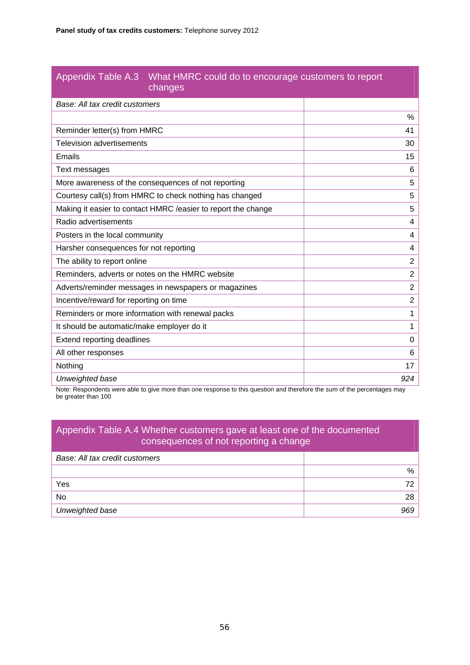#### Appendix Table A.3 What HMRC could do to encourage customers to report changes

| u lai iyuo                                                     |                |
|----------------------------------------------------------------|----------------|
| Base: All tax credit customers                                 |                |
|                                                                | %              |
| Reminder letter(s) from HMRC                                   | 41             |
| <b>Television advertisements</b>                               | 30             |
| Emails                                                         | 15             |
| Text messages                                                  | 6              |
| More awareness of the consequences of not reporting            | 5              |
| Courtesy call(s) from HMRC to check nothing has changed        | 5              |
| Making it easier to contact HMRC / easier to report the change | 5              |
| Radio advertisements                                           | 4              |
| Posters in the local community                                 | 4              |
| Harsher consequences for not reporting                         | 4              |
| The ability to report online                                   | $\overline{2}$ |
| Reminders, adverts or notes on the HMRC website                | $\overline{2}$ |
| Adverts/reminder messages in newspapers or magazines           | $\overline{2}$ |
| Incentive/reward for reporting on time                         | $\overline{2}$ |
| Reminders or more information with renewal packs               | 1              |
| It should be automatic/make employer do it                     | 1              |
| Extend reporting deadlines                                     | $\Omega$       |
| All other responses                                            | 6              |
| Nothing                                                        | 17             |
| Unweighted base                                                | 924            |
|                                                                |                |

Note: Respondents were able to give more than one response to this question and therefore the sum of the percentages may be greater than 100

## Appendix Table A.4 Whether customers gave at least one of the documented consequences of not reporting a change

| Base: All tax credit customers |     |
|--------------------------------|-----|
|                                | %   |
| Yes                            |     |
| No                             | 28  |
| Unweighted base                | 969 |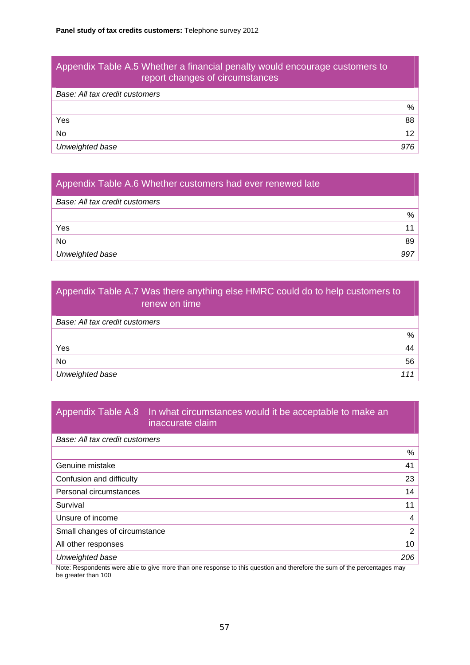# Appendix Table A.5 Whether a financial penalty would encourage customers to report changes of circumstances *Base: All tax credit customers*  % Yes 88 No the contract of the contract of the contract of the contract of the contract of the contract of the contract of the contract of the contract of the contract of the contract of the contract of the contract of the contrac *Unweighted base 976*

# Appendix Table A.6 Whether customers had ever renewed late *Base: All tax credit customers*  % Yes the contract of the contract of the contract of the contract of the contract of the contract of the contract of the contract of the contract of the contract of the contract of the contract of the contract of the contra No and the set of the set of the set of the set of the set of the set of the set of the set of the set of the s *Unweighted base 997*

# Appendix Table A.7 Was there anything else HMRC could do to help customers to renew on time *Base: All tax credit customers*  % Yes 44 No the set of the set of the set of the set of the set of the set of the set of the set of the set of the set o *Unweighted base 111*

#### Appendix Table A.8 In what circumstances would it be acceptable to make an inaccurate claim

| Base: All tax credit customers |               |
|--------------------------------|---------------|
|                                | %             |
| Genuine mistake                | 41            |
| Confusion and difficulty       | 23            |
| Personal circumstances         | 14            |
| Survival                       | 11            |
| Unsure of income               | 4             |
| Small changes of circumstance  | $\mathcal{P}$ |
| All other responses            | 10            |
| Unweighted base                | 206           |

Note: Respondents were able to give more than one response to this question and therefore the sum of the percentages may be greater than 100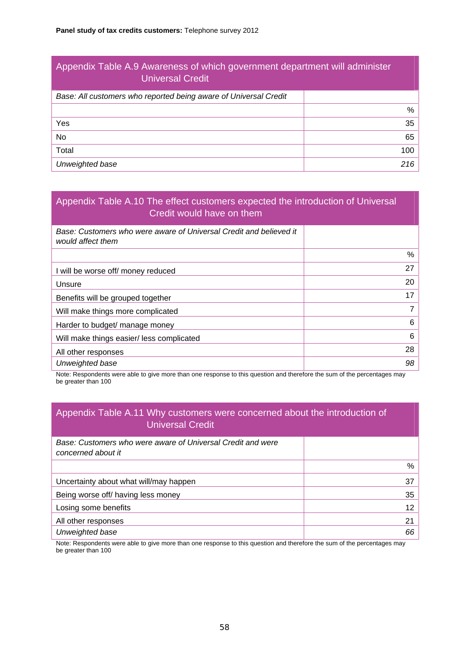| Appendix Table A.9 Awareness of which government department will administer<br><b>Universal Credit</b> |     |
|--------------------------------------------------------------------------------------------------------|-----|
| Base: All customers who reported being aware of Universal Credit                                       |     |
|                                                                                                        | %   |
| Yes                                                                                                    | 35  |
| No.                                                                                                    | 65  |
| Total                                                                                                  | 100 |

*Unweighted base 216* 

#### Appendix Table A.10 The effect customers expected the introduction of Universal Credit would have on them

| Base: Customers who were aware of Universal Credit and believed it<br>would affect them |    |
|-----------------------------------------------------------------------------------------|----|
|                                                                                         | %  |
| I will be worse off/ money reduced                                                      | 27 |
| Unsure                                                                                  | 20 |
| Benefits will be grouped together                                                       | 17 |
| Will make things more complicated                                                       | 7  |
| Harder to budget/ manage money                                                          | 6  |
| Will make things easier/ less complicated                                               | 6  |
| All other responses                                                                     | 28 |
| Unweighted base                                                                         | 98 |

Note: Respondents were able to give more than one response to this question and therefore the sum of the percentages may be greater than 100

#### Appendix Table A.11 Why customers were concerned about the introduction of Universal Credit

| Base: Customers who were aware of Universal Credit and were<br>concerned about it |    |
|-----------------------------------------------------------------------------------|----|
|                                                                                   | %  |
| Uncertainty about what will/may happen                                            | 37 |
| Being worse off/ having less money                                                | 35 |
| Losing some benefits                                                              | 12 |
| All other responses                                                               | 21 |
| Unweighted base                                                                   | 66 |

Note: Respondents were able to give more than one response to this question and therefore the sum of the percentages may be greater than 100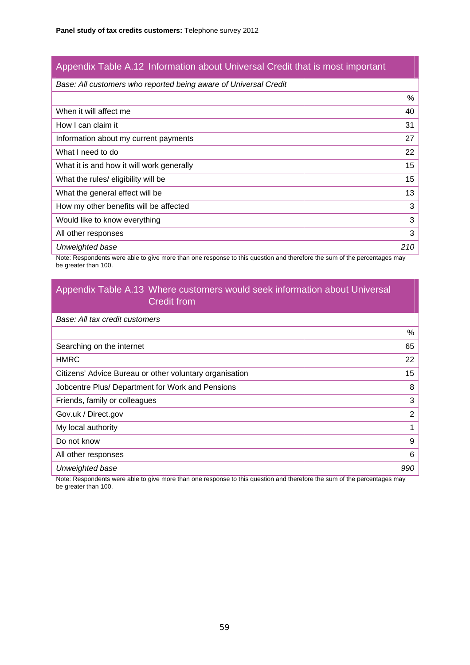## Appendix Table A.12 Information about Universal Credit that is most important

| Base: All customers who reported being aware of Universal Credit |     |
|------------------------------------------------------------------|-----|
|                                                                  | %   |
| When it will affect me                                           | 40  |
| How I can claim it                                               | 31  |
| Information about my current payments                            | 27  |
| What I need to do                                                | 22  |
| What it is and how it will work generally                        | 15  |
| What the rules/ eligibility will be                              | 15  |
| What the general effect will be                                  | 13  |
| How my other benefits will be affected                           | 3   |
| Would like to know everything                                    | 3   |
| All other responses                                              | 3   |
| Unweighted base                                                  | 210 |

Note: Respondents were able to give more than one response to this question and therefore the sum of the percentages may be greater than 100.

### Appendix Table A.13 Where customers would seek information about Universal Credit from

| Base: All tax credit customers                          |     |
|---------------------------------------------------------|-----|
|                                                         | %   |
| Searching on the internet                               | 65  |
| <b>HMRC</b>                                             | 22  |
| Citizens' Advice Bureau or other voluntary organisation | 15  |
| Jobcentre Plus/ Department for Work and Pensions        | 8   |
| Friends, family or colleagues                           | 3   |
| Gov.uk / Direct.gov                                     | 2   |
| My local authority                                      | 1   |
| Do not know                                             | 9   |
| All other responses                                     | 6   |
| Unweighted base                                         | 990 |

Note: Respondents were able to give more than one response to this question and therefore the sum of the percentages may be greater than 100.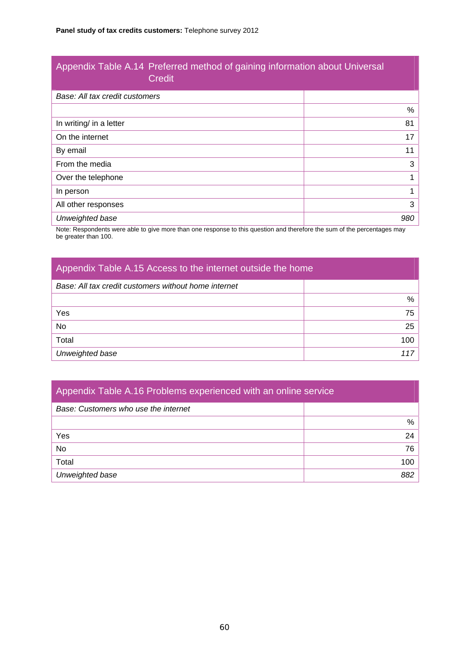#### Appendix Table A.14 Preferred method of gaining information about Universal Credit

| Base: All tax credit customers |     |
|--------------------------------|-----|
|                                | %   |
| In writing/ in a letter        | 81  |
| On the internet                | 17  |
| By email                       | 11  |
| From the media                 | 3   |
| Over the telephone             |     |
| In person                      |     |
| All other responses            | 3   |
| Unweighted base                | 980 |

Note: Respondents were able to give more than one response to this question and therefore the sum of the percentages may be greater than 100.

## Appendix Table A.15 Access to the internet outside the home

| Base: All tax credit customers without home internet |     |
|------------------------------------------------------|-----|
|                                                      | %   |
| Yes                                                  | 75  |
| No                                                   | 25  |
| Total                                                | 100 |
| Unweighted base                                      | 117 |

| Appendix Table A.16 Problems experienced with an online service |     |
|-----------------------------------------------------------------|-----|
| Base: Customers who use the internet                            |     |
|                                                                 | %   |
| Yes                                                             | 24  |
| No.                                                             | 76  |
| Total                                                           | 100 |
| Unweighted base                                                 | 882 |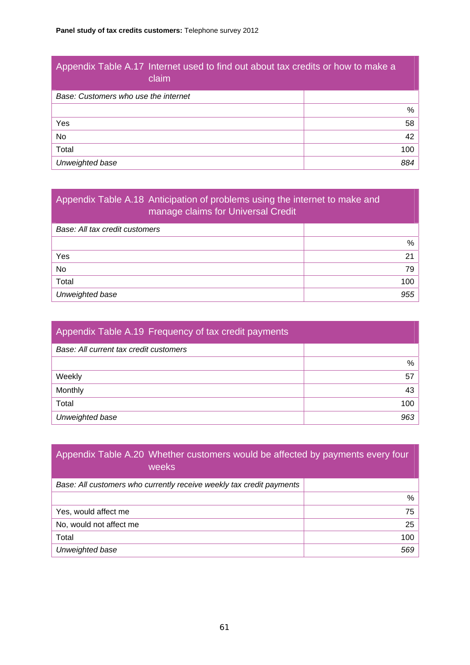| Appendix Table A.17 Internet used to find out about tax credits or how to make a<br>claim |     |
|-------------------------------------------------------------------------------------------|-----|
| Base: Customers who use the internet                                                      |     |
|                                                                                           | %   |
| Yes                                                                                       | 58  |
| No.                                                                                       | 42  |
| Total                                                                                     | 100 |
| Unweighted base                                                                           | 884 |

| Appendix Table A.18 Anticipation of problems using the internet to make and<br>manage claims for Universal Credit |     |
|-------------------------------------------------------------------------------------------------------------------|-----|
| Base: All tax credit customers                                                                                    |     |
|                                                                                                                   | %   |
| Yes                                                                                                               | 21  |
| No.                                                                                                               | 79  |
| Total                                                                                                             | 100 |
| Unweighted base                                                                                                   | 955 |

| Appendix Table A.19 Frequency of tax credit payments |     |
|------------------------------------------------------|-----|
| Base: All current tax credit customers               |     |
|                                                      | %   |
| Weekly                                               | 57  |
| Monthly                                              | 43  |
| Total                                                | 100 |
| Unweighted base                                      | 963 |

| Appendix Table A.20 Whether customers would be affected by payments every four<br>weeks |     |
|-----------------------------------------------------------------------------------------|-----|
| Base: All customers who currently receive weekly tax credit payments                    |     |
|                                                                                         | %   |
| Yes, would affect me                                                                    | 75  |
| No, would not affect me                                                                 | 25  |
| Total                                                                                   | 100 |
| Unweighted base                                                                         | 569 |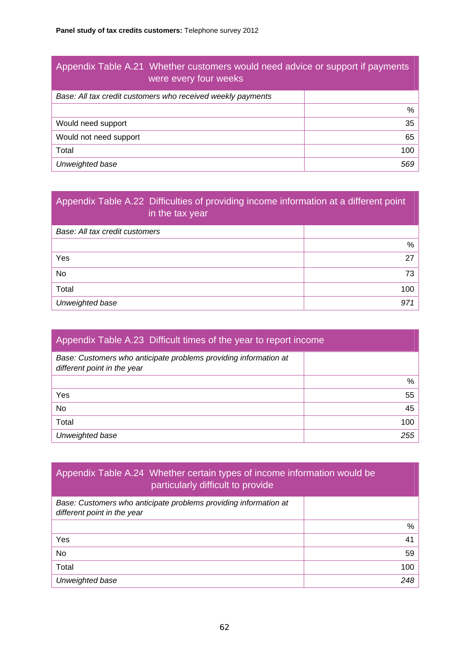| Appendix Table A.21 Whether customers would need advice or support if payments<br>were every four weeks |     |
|---------------------------------------------------------------------------------------------------------|-----|
| Base: All tax credit customers who received weekly payments                                             |     |
|                                                                                                         | %   |
| Would need support                                                                                      | 35  |
| Would not need support                                                                                  | 65  |
| Total                                                                                                   | 100 |
| Unweighted base                                                                                         | 569 |

# Appendix Table A.22 Difficulties of providing income information at a different point in the tax year

| Base: All tax credit customers |                 |
|--------------------------------|-----------------|
|                                | %               |
| Yes                            | 27              |
| No                             | 73 <sup>1</sup> |
| Total                          | 100             |
| Unweighted base                | 971             |

| Appendix Table A.23 Difficult times of the year to report income                                |     |  |  |  |
|-------------------------------------------------------------------------------------------------|-----|--|--|--|
| Base: Customers who anticipate problems providing information at<br>different point in the year |     |  |  |  |
|                                                                                                 | %   |  |  |  |
| Yes                                                                                             | 55  |  |  |  |
| No                                                                                              | 45  |  |  |  |
| Total                                                                                           | 100 |  |  |  |
| Unweighted base                                                                                 | 255 |  |  |  |

## Appendix Table A.24 Whether certain types of income information would be particularly difficult to provide

| Base: Customers who anticipate problems providing information at<br>different point in the year |     |
|-------------------------------------------------------------------------------------------------|-----|
|                                                                                                 | %   |
| Yes                                                                                             | 41  |
| No.                                                                                             | 59  |
| Total                                                                                           | 100 |
| Unweighted base                                                                                 | 248 |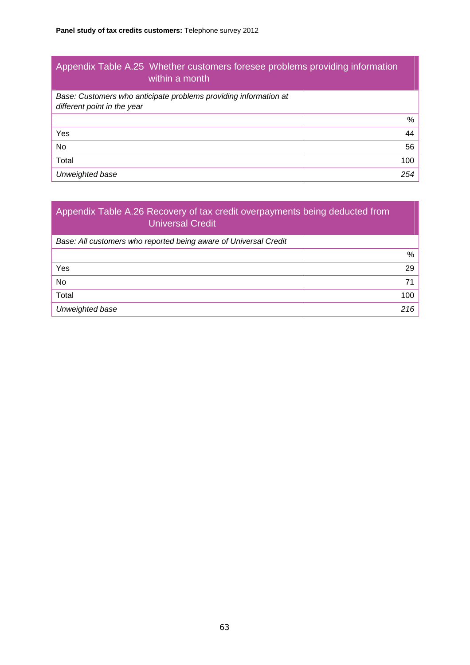| Appendix Table A.25 Whether customers foresee problems providing information<br>within a month  |     |  |  |  |
|-------------------------------------------------------------------------------------------------|-----|--|--|--|
| Base: Customers who anticipate problems providing information at<br>different point in the year |     |  |  |  |
|                                                                                                 | %   |  |  |  |
| Yes                                                                                             | 44  |  |  |  |
| No                                                                                              | 56  |  |  |  |
| Total                                                                                           | 100 |  |  |  |
| Unweighted base                                                                                 | 254 |  |  |  |

| Appendix Table A.26 Recovery of tax credit overpayments being deducted from<br><b>Universal Credit</b> |     |  |  |  |
|--------------------------------------------------------------------------------------------------------|-----|--|--|--|
| Base: All customers who reported being aware of Universal Credit                                       |     |  |  |  |
|                                                                                                        | %   |  |  |  |
| Yes                                                                                                    | 29  |  |  |  |
| No.                                                                                                    | 71  |  |  |  |
| Total                                                                                                  | 100 |  |  |  |
| Unweighted base                                                                                        | 216 |  |  |  |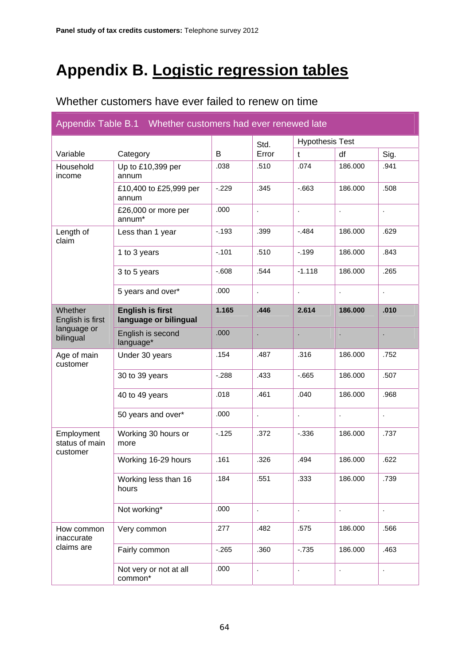# **Appendix B. Logistic regression tables**

## Whether customers have ever failed to renew on time

| Appendix Table B.1 Whether customers had ever renewed late |                                                  |          |       |                        |                      |         |
|------------------------------------------------------------|--------------------------------------------------|----------|-------|------------------------|----------------------|---------|
|                                                            |                                                  |          | Std.  | <b>Hypothesis Test</b> |                      |         |
| Variable                                                   | Category                                         | B        | Error | $\mathbf t$            | df                   | Sig.    |
| Household<br>income                                        | Up to £10,399 per<br>annum                       | .038     | .510  | .074                   | 186.000              | .941    |
|                                                            | £10,400 to £25,999 per<br>annum                  | $-.229$  | .345  | $-663$                 | 186.000              | .508    |
|                                                            | £26,000 or more per<br>annum*                    | .000     |       |                        |                      |         |
| Length of<br>claim                                         | Less than 1 year                                 | $-0.193$ | .399  | $-.484$                | 186.000              | .629    |
|                                                            | 1 to 3 years                                     | $-.101$  | .510  | $-199$                 | 186.000              | .843    |
|                                                            | 3 to 5 years                                     | $-0.608$ | .544  | $-1.118$               | 186.000              | .265    |
|                                                            | 5 years and over*                                | .000     | ×.    |                        | $\ddot{\phantom{0}}$ | ×,      |
| Whether<br>English is first                                | <b>English is first</b><br>language or bilingual | 1.165    | .446  | 2.614                  | 186.000              | .010    |
| language or<br>bilingual                                   | English is second<br>language*                   | .000     |       |                        |                      |         |
| Age of main<br>customer                                    | Under 30 years                                   | .154     | .487  | .316                   | 186.000              | .752    |
|                                                            | 30 to 39 years                                   | $-288$   | .433  | $-665$                 | 186.000              | .507    |
|                                                            | 40 to 49 years                                   | .018     | .461  | .040                   | 186.000              | .968    |
|                                                            | 50 years and over*                               | .000     | ä,    | l,                     |                      | $\cdot$ |
| Employment<br>status of main<br>customer                   | Working 30 hours or<br>more                      | $-125$   | .372  | $-0.336$               | 186.000              | .737    |
|                                                            | Working 16-29 hours                              | .161     | .326  | .494                   | 186.000              | .622    |
|                                                            | Working less than 16<br>hours                    | .184     | .551  | .333                   | 186.000              | .739    |
|                                                            | Not working*                                     | .000     | ¥,    | l,                     |                      |         |
| How common<br>inaccurate<br>claims are                     | Very common                                      | .277     | .482  | .575                   | 186.000              | .566    |
|                                                            | Fairly common                                    | $-265$   | .360  | $-735$                 | 186.000              | .463    |
|                                                            | Not very or not at all<br>common*                | .000     | ä,    |                        | $\ddot{\phantom{0}}$ |         |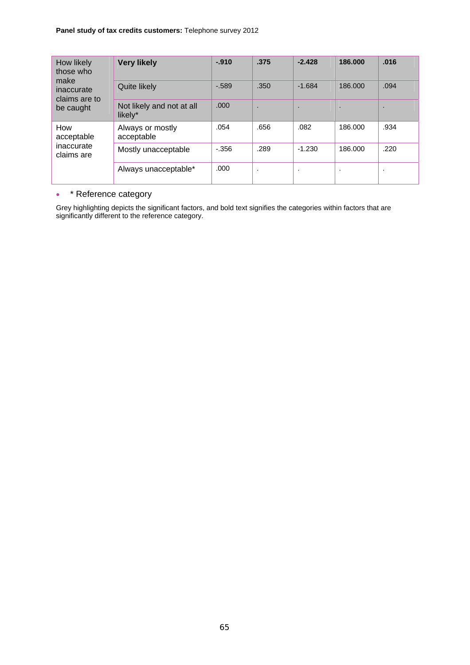#### **Panel study of tax credits customers:** Telephone survey 2012

| How likely<br>those who<br>make<br>inaccurate<br>claims are to<br>be caught | <b>Very likely</b>                   | $-910$   | .375                 | $-2.428$                 | 186.000 | .016 |
|-----------------------------------------------------------------------------|--------------------------------------|----------|----------------------|--------------------------|---------|------|
|                                                                             | Quite likely                         | $-0.589$ | .350                 | $-1.684$                 | 186.000 | .094 |
|                                                                             | Not likely and not at all<br>likely* | .000     | ٠.                   | $\overline{\phantom{a}}$ |         | ٠    |
| How<br>acceptable<br>inaccurate<br>claims are                               | Always or mostly<br>acceptable       | .054     | .656                 | .082                     | 186,000 | .934 |
|                                                                             | Mostly unacceptable                  | $-0.356$ | .289                 | $-1.230$                 | 186.000 | .220 |
|                                                                             | Always unacceptable*                 | .000     | $\ddot{\phantom{a}}$ | ٠.                       | $\cdot$ | ٠.   |

#### • \* Reference category

Grey highlighting depicts the significant factors, and bold text signifies the categories within factors that are significantly different to the reference category.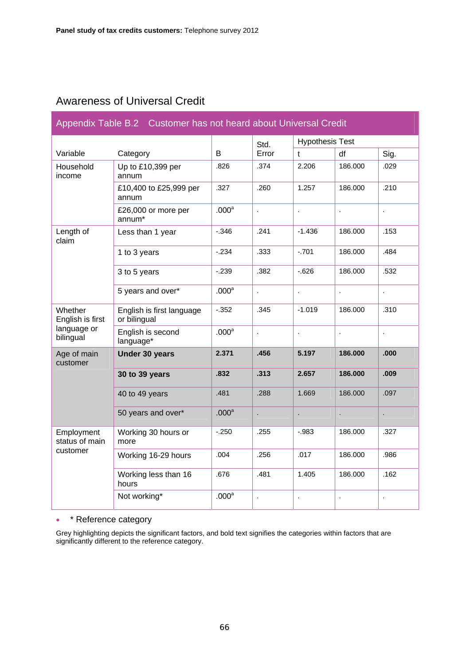## Awareness of Universal Credit

| Appendix Table B.2 Customer has not heard about Universal Credit |                                           |                   |              |                        |                |       |
|------------------------------------------------------------------|-------------------------------------------|-------------------|--------------|------------------------|----------------|-------|
|                                                                  |                                           |                   | Std.         | <b>Hypothesis Test</b> |                |       |
| Variable                                                         | Category                                  | B                 | Error        | $\mathbf{t}$           | df             | Sig.  |
| Household<br>income                                              | Up to £10,399 per<br>annum                | .826              | .374         | 2.206                  | 186.000        | .029  |
|                                                                  | £10,400 to £25,999 per<br>annum           | .327              | .260         | 1.257                  | 186.000        | .210  |
|                                                                  | £26,000 or more per<br>annum*             | .000 <sup>a</sup> | t,           | l,                     |                |       |
| Length of<br>claim                                               | Less than 1 year                          | $-.346$           | .241         | $-1.436$               | 186.000        | .153  |
|                                                                  | 1 to 3 years                              | $-0.234$          | .333         | $-701$                 | 186.000        | .484  |
|                                                                  | 3 to 5 years                              | $-239$            | .382         | $-626$                 | 186.000        | .532  |
|                                                                  | 5 years and over*                         | .000 <sup>a</sup> | ¥.           | ÷.                     | $\overline{a}$ | l,    |
| Whether<br>English is first                                      | English is first language<br>or bilingual | $-0.352$          | .345         | $-1.019$               | 186.000        | .310  |
| language or<br>bilingual                                         | English is second<br>language*            | .000 <sup>a</sup> | $\mathbf{r}$ | l,                     |                | l,    |
| Age of main<br>customer                                          | <b>Under 30 years</b>                     | 2.371             | .456         | 5.197                  | 186.000        | .000. |
|                                                                  | 30 to 39 years                            | .832              | .313         | 2.657                  | 186.000        | .009  |
|                                                                  | 40 to 49 years                            | .481              | .288         | 1.669                  | 186.000        | .097  |
|                                                                  | 50 years and over*                        | .000 <sup>a</sup> | l.           | l,                     |                |       |
| Employment<br>status of main<br>customer                         | Working 30 hours or<br>more               | $-0.250$          | .255         | $-0.983$               | 186.000        | .327  |
|                                                                  | Working 16-29 hours                       | .004              | .256         | .017                   | 186.000        | .986  |
|                                                                  | Working less than 16<br>hours             | .676              | .481         | 1.405                  | 186.000        | .162  |
|                                                                  | Not working*                              | .000 <sup>a</sup> | ä,           | $\hat{\mathbf{r}}$     | $\cdot$        | ł.    |

### • \* Reference category

Grey highlighting depicts the significant factors, and bold text signifies the categories within factors that are significantly different to the reference category.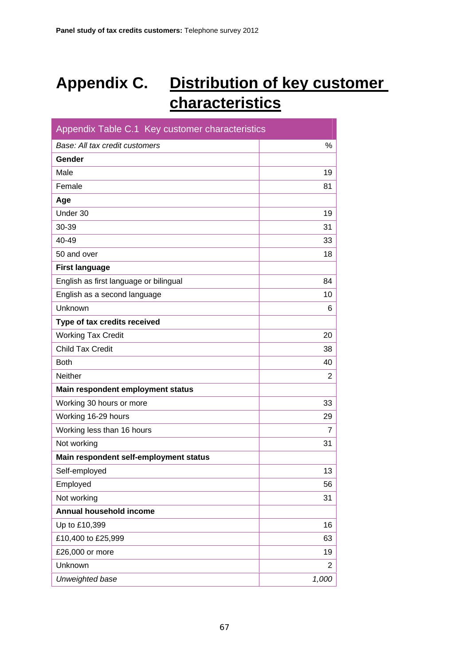# **Appendix C. Distribution of key customer characteristics**

| Appendix Table C.1 Key customer characteristics |                |  |  |  |
|-------------------------------------------------|----------------|--|--|--|
| $\%$<br>Base: All tax credit customers          |                |  |  |  |
| Gender                                          |                |  |  |  |
| Male                                            | 19             |  |  |  |
| Female                                          | 81             |  |  |  |
| Age                                             |                |  |  |  |
| Under 30                                        | 19             |  |  |  |
| 30-39                                           | 31             |  |  |  |
| 40-49                                           | 33             |  |  |  |
| 50 and over                                     | 18             |  |  |  |
| <b>First language</b>                           |                |  |  |  |
| English as first language or bilingual          | 84             |  |  |  |
| English as a second language                    | 10             |  |  |  |
| Unknown                                         | 6              |  |  |  |
| Type of tax credits received                    |                |  |  |  |
| <b>Working Tax Credit</b>                       | 20             |  |  |  |
| <b>Child Tax Credit</b>                         | 38             |  |  |  |
| <b>Both</b>                                     | 40             |  |  |  |
| Neither                                         | $\overline{2}$ |  |  |  |
| Main respondent employment status               |                |  |  |  |
| Working 30 hours or more                        | 33             |  |  |  |
| Working 16-29 hours                             | 29             |  |  |  |
| Working less than 16 hours                      | 7              |  |  |  |
| Not working                                     | 31             |  |  |  |
| Main respondent self-employment status          |                |  |  |  |
| Self-employed                                   | 13             |  |  |  |
| Employed                                        | 56             |  |  |  |
| Not working                                     | 31             |  |  |  |
| Annual household income                         |                |  |  |  |
| Up to £10,399                                   | 16             |  |  |  |
| £10,400 to £25,999                              | 63             |  |  |  |
| £26,000 or more                                 | 19             |  |  |  |
| Unknown                                         | $\overline{2}$ |  |  |  |
| Unweighted base                                 | 1,000          |  |  |  |